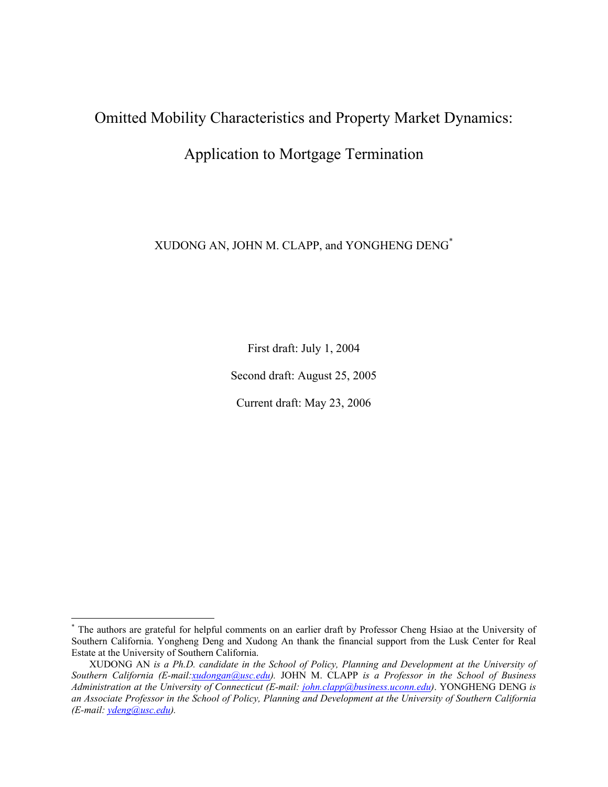## Omitted Mobility Characteristics and Property Market Dynamics:

### Application to Mortgage Termination

XUDONG AN, JOHN M. CLAPP, and YONGHENG DENG\*

First draft: July 1, 2004

Second draft: August 25, 2005

Current draft: May 23, 2006

<sup>\*</sup> The authors are grateful for helpful comments on an earlier draft by Professor Cheng Hsiao at the University of Southern California. Yongheng Deng and Xudong An thank the financial support from the Lusk Center for Real Estate at the University of Southern California.

XUDONG AN *is a Ph.D. candidate in the School of Policy, Planning and Development at the University of Southern California (E-mail:xudongan@usc.edu).* JOHN M. CLAPP *is a Professor in the School of Business Administration at the University of Connecticut (E-mail: john.clapp@business.uconn.edu)*. YONGHENG DENG *is an Associate Professor in the School of Policy, Planning and Development at the University of Southern California (E-mail: ydeng@usc.edu).*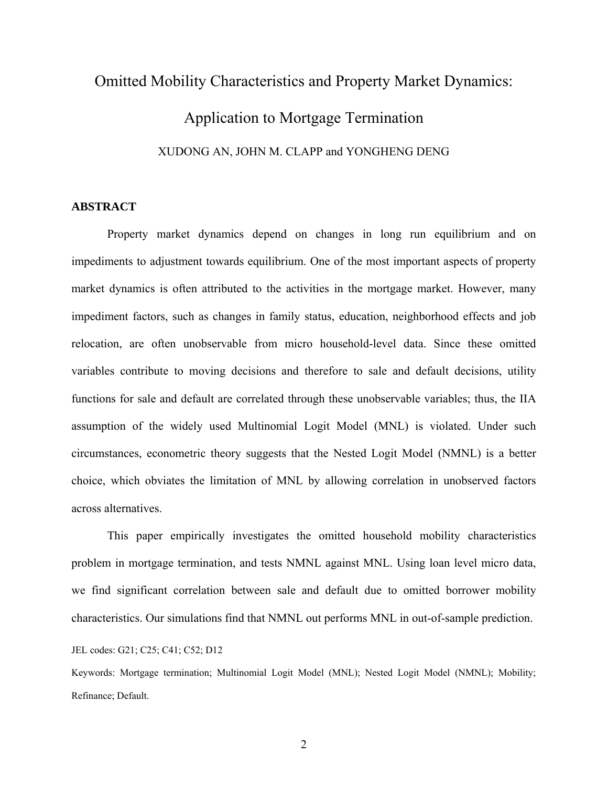# Omitted Mobility Characteristics and Property Market Dynamics: Application to Mortgage Termination XUDONG AN, JOHN M. CLAPP and YONGHENG DENG

#### **ABSTRACT**

Property market dynamics depend on changes in long run equilibrium and on impediments to adjustment towards equilibrium. One of the most important aspects of property market dynamics is often attributed to the activities in the mortgage market. However, many impediment factors, such as changes in family status, education, neighborhood effects and job relocation, are often unobservable from micro household-level data. Since these omitted variables contribute to moving decisions and therefore to sale and default decisions, utility functions for sale and default are correlated through these unobservable variables; thus, the IIA assumption of the widely used Multinomial Logit Model (MNL) is violated. Under such circumstances, econometric theory suggests that the Nested Logit Model (NMNL) is a better choice, which obviates the limitation of MNL by allowing correlation in unobserved factors across alternatives.

This paper empirically investigates the omitted household mobility characteristics problem in mortgage termination, and tests NMNL against MNL. Using loan level micro data, we find significant correlation between sale and default due to omitted borrower mobility characteristics. Our simulations find that NMNL out performs MNL in out-of-sample prediction.

JEL codes: G21; C25; C41; C52; D12

Keywords: Mortgage termination; Multinomial Logit Model (MNL); Nested Logit Model (NMNL); Mobility; Refinance; Default.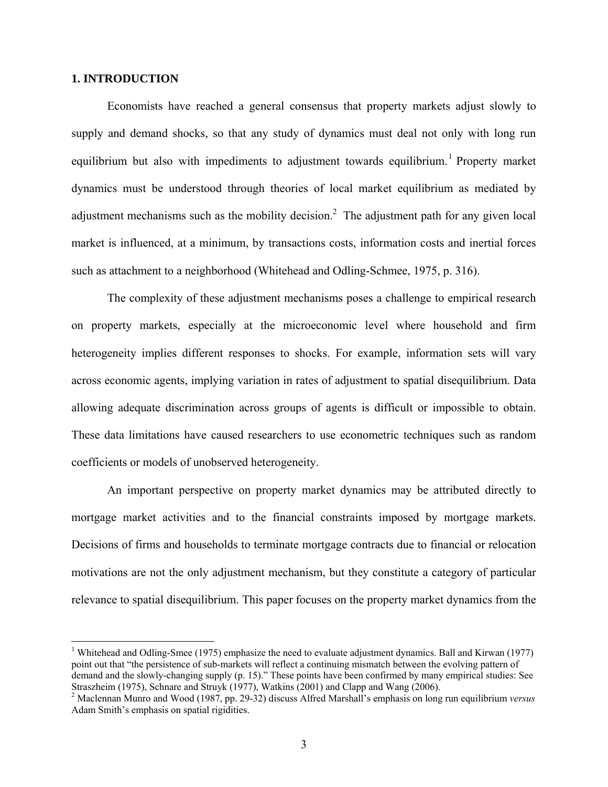#### **1. INTRODUCTION**

 $\overline{a}$ 

Economists have reached a general consensus that property markets adjust slowly to supply and demand shocks, so that any study of dynamics must deal not only with long run equilibrium but also with impediments to adjustment towards equilibrium.<sup>1</sup> Property market dynamics must be understood through theories of local market equilibrium as mediated by adjustment mechanisms such as the mobility decision.<sup>2</sup> The adjustment path for any given local market is influenced, at a minimum, by transactions costs, information costs and inertial forces such as attachment to a neighborhood (Whitehead and Odling-Schmee, 1975, p. 316).

The complexity of these adjustment mechanisms poses a challenge to empirical research on property markets, especially at the microeconomic level where household and firm heterogeneity implies different responses to shocks. For example, information sets will vary across economic agents, implying variation in rates of adjustment to spatial disequilibrium. Data allowing adequate discrimination across groups of agents is difficult or impossible to obtain. These data limitations have caused researchers to use econometric techniques such as random coefficients or models of unobserved heterogeneity.

An important perspective on property market dynamics may be attributed directly to mortgage market activities and to the financial constraints imposed by mortgage markets. Decisions of firms and households to terminate mortgage contracts due to financial or relocation motivations are not the only adjustment mechanism, but they constitute a category of particular relevance to spatial disequilibrium. This paper focuses on the property market dynamics from the

<sup>&</sup>lt;sup>1</sup> Whitehead and Odling-Smee (1975) emphasize the need to evaluate adjustment dynamics. Ball and Kirwan (1977) point out that "the persistence of sub-markets will reflect a continuing mismatch between the evolving pattern of demand and the slowly-changing supply (p. 15)." These points have been confirmed by many empirical studies: See Straszheim (1975), Schnare and Struyk (1977), Watkins (2001) and Clapp and Wang (2006).

<sup>2</sup> Maclennan Munro and Wood (1987, pp. 29-32) discuss Alfred Marshall's emphasis on long run equilibrium *versus* Adam Smith's emphasis on spatial rigidities.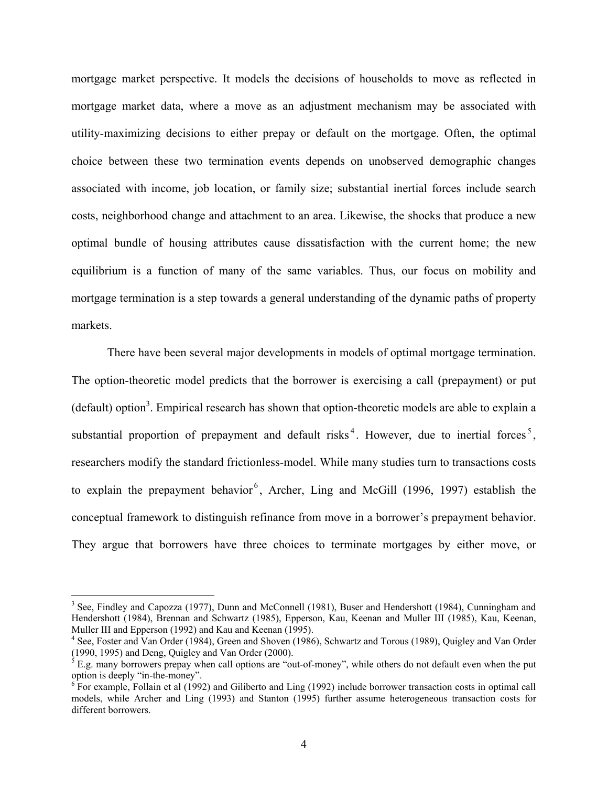mortgage market perspective. It models the decisions of households to move as reflected in mortgage market data, where a move as an adjustment mechanism may be associated with utility-maximizing decisions to either prepay or default on the mortgage. Often, the optimal choice between these two termination events depends on unobserved demographic changes associated with income, job location, or family size; substantial inertial forces include search costs, neighborhood change and attachment to an area. Likewise, the shocks that produce a new optimal bundle of housing attributes cause dissatisfaction with the current home; the new equilibrium is a function of many of the same variables. Thus, our focus on mobility and mortgage termination is a step towards a general understanding of the dynamic paths of property markets.

There have been several major developments in models of optimal mortgage termination. The option-theoretic model predicts that the borrower is exercising a call (prepayment) or put (default) option<sup>3</sup>. Empirical research has shown that option-theoretic models are able to explain a substantial proportion of prepayment and default risks<sup>4</sup>. However, due to inertial forces<sup>5</sup>, researchers modify the standard frictionless-model. While many studies turn to transactions costs to explain the prepayment behavior<sup>6</sup>, Archer, Ling and McGill (1996, 1997) establish the conceptual framework to distinguish refinance from move in a borrower's prepayment behavior. They argue that borrowers have three choices to terminate mortgages by either move, or

<sup>&</sup>lt;sup>3</sup> See, Findley and Capozza (1977), Dunn and McConnell (1981), Buser and Hendershott (1984), Cunningham and Hendershott (1984), Brennan and Schwartz (1985), Epperson, Kau, Keenan and Muller III (1985), Kau, Keenan, Muller III and Epperson (1992) and Kau and Keenan (1995).

<sup>&</sup>lt;sup>4</sup> See, Foster and Van Order (1984), Green and Shoven (1986), Schwartz and Torous (1989), Quigley and Van Order (1990, 1995) and Deng, Quigley and Van Order (2000).

 $<sup>5</sup>$  E.g. many borrowers prepay when call options are "out-of-money", while others do not default even when the put</sup> option is deeply "in-the-money".

 $6$  For example, Follain et al (1992) and Giliberto and Ling (1992) include borrower transaction costs in optimal call models, while Archer and Ling (1993) and Stanton (1995) further assume heterogeneous transaction costs for different borrowers.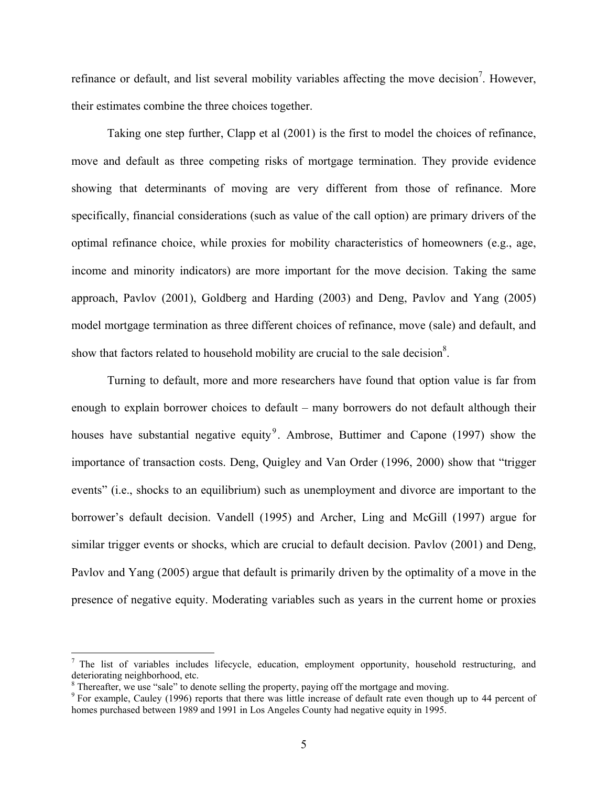refinance or default, and list several mobility variables affecting the move decision<sup>7</sup>. However, their estimates combine the three choices together.

Taking one step further, Clapp et al (2001) is the first to model the choices of refinance, move and default as three competing risks of mortgage termination. They provide evidence showing that determinants of moving are very different from those of refinance. More specifically, financial considerations (such as value of the call option) are primary drivers of the optimal refinance choice, while proxies for mobility characteristics of homeowners (e.g., age, income and minority indicators) are more important for the move decision. Taking the same approach, Pavlov (2001), Goldberg and Harding (2003) and Deng, Pavlov and Yang (2005) model mortgage termination as three different choices of refinance, move (sale) and default, and show that factors related to household mobility are crucial to the sale decision<sup>8</sup>.

Turning to default, more and more researchers have found that option value is far from enough to explain borrower choices to default – many borrowers do not default although their houses have substantial negative equity<sup>9</sup>. Ambrose, Buttimer and Capone (1997) show the importance of transaction costs. Deng, Quigley and Van Order (1996, 2000) show that "trigger events" (i.e., shocks to an equilibrium) such as unemployment and divorce are important to the borrower's default decision. Vandell (1995) and Archer, Ling and McGill (1997) argue for similar trigger events or shocks, which are crucial to default decision. Pavlov (2001) and Deng, Pavlov and Yang (2005) argue that default is primarily driven by the optimality of a move in the presence of negative equity. Moderating variables such as years in the current home or proxies

 $<sup>7</sup>$  The list of variables includes lifecycle, education, employment opportunity, household restructuring, and</sup> deteriorating neighborhood, etc.

 $8$  Thereafter, we use "sale" to denote selling the property, paying off the mortgage and moving.

 $9$  For example, Cauley (1996) reports that there was little increase of default rate even though up to 44 percent of homes purchased between 1989 and 1991 in Los Angeles County had negative equity in 1995.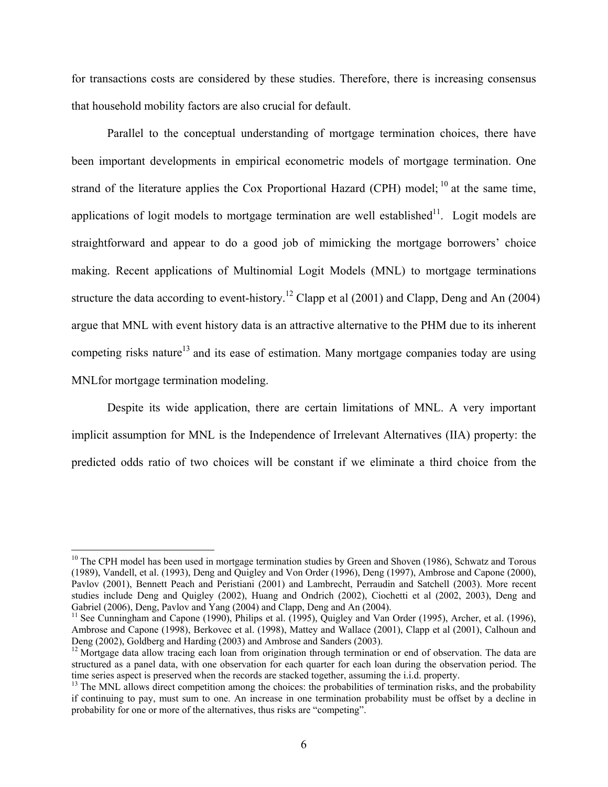for transactions costs are considered by these studies. Therefore, there is increasing consensus that household mobility factors are also crucial for default.

Parallel to the conceptual understanding of mortgage termination choices, there have been important developments in empirical econometric models of mortgage termination. One strand of the literature applies the Cox Proportional Hazard (CPH) model;  $^{10}$  at the same time, applications of logit models to mortgage termination are well established $11$ . Logit models are straightforward and appear to do a good job of mimicking the mortgage borrowers' choice making. Recent applications of Multinomial Logit Models (MNL) to mortgage terminations structure the data according to event-history.<sup>12</sup> Clapp et al (2001) and Clapp, Deng and An (2004) argue that MNL with event history data is an attractive alternative to the PHM due to its inherent competing risks nature<sup>13</sup> and its ease of estimation. Many mortgage companies today are using MNLfor mortgage termination modeling.

Despite its wide application, there are certain limitations of MNL. A very important implicit assumption for MNL is the Independence of Irrelevant Alternatives (IIA) property: the predicted odds ratio of two choices will be constant if we eliminate a third choice from the

 $10$  The CPH model has been used in mortgage termination studies by Green and Shoven (1986), Schwatz and Torous (1989), Vandell, et al. (1993), Deng and Quigley and Von Order (1996), Deng (1997), Ambrose and Capone (2000), Pavlov (2001), Bennett Peach and Peristiani (2001) and Lambrecht, Perraudin and Satchell (2003). More recent studies include Deng and Quigley (2002), Huang and Ondrich (2002), Ciochetti et al (2002, 2003), Deng and Gabriel (2006), Deng, Pavlov and Yang (2004) and Clapp, Deng and An (2004).

<sup>&</sup>lt;sup>11</sup> See Cunningham and Capone (1990), Philips et al. (1995), Quigley and Van Order (1995), Archer, et al. (1996), Ambrose and Capone (1998), Berkovec et al. (1998), Mattey and Wallace (2001), Clapp et al (2001), Calhoun and Deng (2002), Goldberg and Harding (2003) and Ambrose and Sanders (2003).

 $12$  Mortgage data allow tracing each loan from origination through termination or end of observation. The data are structured as a panel data, with one observation for each quarter for each loan during the observation period. The time series aspect is preserved when the records are stacked together, assuming the i.i.d. property.

 $t<sup>13</sup>$  The MNL allows direct competition among the choices: the probabilities of termination risks, and the probability if continuing to pay, must sum to one. An increase in one termination probability must be offset by a decline in probability for one or more of the alternatives, thus risks are "competing".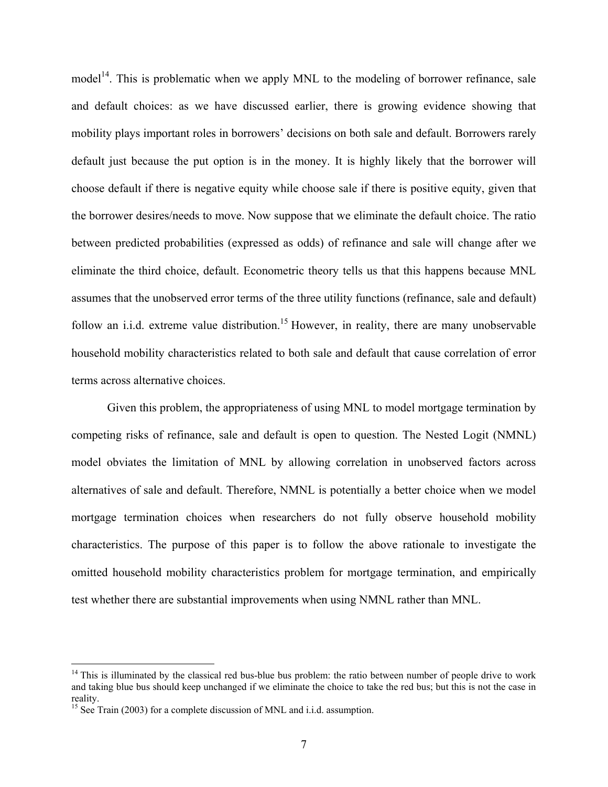$model<sup>14</sup>$ . This is problematic when we apply MNL to the modeling of borrower refinance, sale and default choices: as we have discussed earlier, there is growing evidence showing that mobility plays important roles in borrowers' decisions on both sale and default. Borrowers rarely default just because the put option is in the money. It is highly likely that the borrower will choose default if there is negative equity while choose sale if there is positive equity, given that the borrower desires/needs to move. Now suppose that we eliminate the default choice. The ratio between predicted probabilities (expressed as odds) of refinance and sale will change after we eliminate the third choice, default. Econometric theory tells us that this happens because MNL assumes that the unobserved error terms of the three utility functions (refinance, sale and default) follow an i.i.d. extreme value distribution.<sup>15</sup> However, in reality, there are many unobservable household mobility characteristics related to both sale and default that cause correlation of error terms across alternative choices.

Given this problem, the appropriateness of using MNL to model mortgage termination by competing risks of refinance, sale and default is open to question. The Nested Logit (NMNL) model obviates the limitation of MNL by allowing correlation in unobserved factors across alternatives of sale and default. Therefore, NMNL is potentially a better choice when we model mortgage termination choices when researchers do not fully observe household mobility characteristics. The purpose of this paper is to follow the above rationale to investigate the omitted household mobility characteristics problem for mortgage termination, and empirically test whether there are substantial improvements when using NMNL rather than MNL.

 $14$  This is illuminated by the classical red bus-blue bus problem: the ratio between number of people drive to work and taking blue bus should keep unchanged if we eliminate the choice to take the red bus; but this is not the case in reality.

<sup>&</sup>lt;sup>15</sup> See Train (2003) for a complete discussion of MNL and i.i.d. assumption.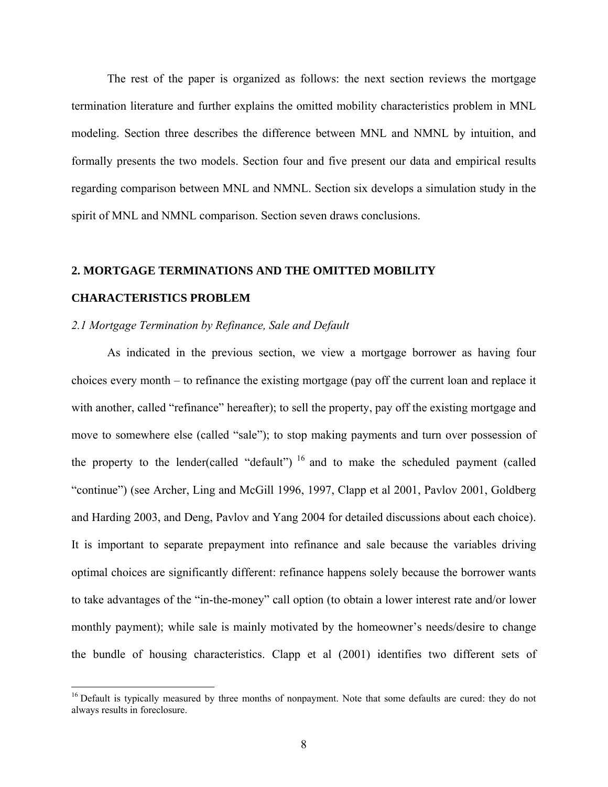The rest of the paper is organized as follows: the next section reviews the mortgage termination literature and further explains the omitted mobility characteristics problem in MNL modeling. Section three describes the difference between MNL and NMNL by intuition, and formally presents the two models. Section four and five present our data and empirical results regarding comparison between MNL and NMNL. Section six develops a simulation study in the spirit of MNL and NMNL comparison. Section seven draws conclusions.

#### **2. MORTGAGE TERMINATIONS AND THE OMITTED MOBILITY**

#### **CHARACTERISTICS PROBLEM**

1

#### *2.1 Mortgage Termination by Refinance, Sale and Default*

As indicated in the previous section, we view a mortgage borrower as having four choices every month – to refinance the existing mortgage (pay off the current loan and replace it with another, called "refinance" hereafter); to sell the property, pay off the existing mortgage and move to somewhere else (called "sale"); to stop making payments and turn over possession of the property to the lender(called "default")  $16$  and to make the scheduled payment (called "continue") (see Archer, Ling and McGill 1996, 1997, Clapp et al 2001, Pavlov 2001, Goldberg and Harding 2003, and Deng, Pavlov and Yang 2004 for detailed discussions about each choice). It is important to separate prepayment into refinance and sale because the variables driving optimal choices are significantly different: refinance happens solely because the borrower wants to take advantages of the "in-the-money" call option (to obtain a lower interest rate and/or lower monthly payment); while sale is mainly motivated by the homeowner's needs/desire to change the bundle of housing characteristics. Clapp et al (2001) identifies two different sets of

<sup>&</sup>lt;sup>16</sup> Default is typically measured by three months of nonpayment. Note that some defaults are cured: they do not always results in foreclosure.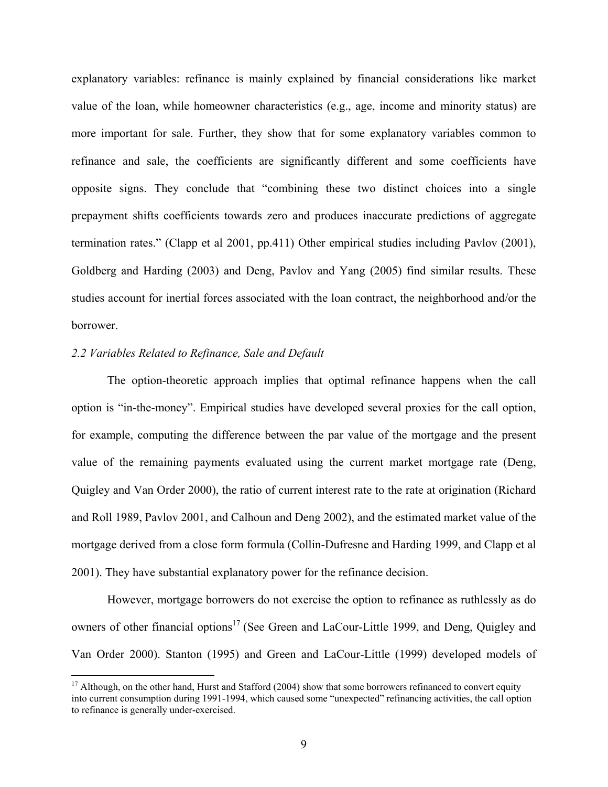explanatory variables: refinance is mainly explained by financial considerations like market value of the loan, while homeowner characteristics (e.g., age, income and minority status) are more important for sale. Further, they show that for some explanatory variables common to refinance and sale, the coefficients are significantly different and some coefficients have opposite signs. They conclude that "combining these two distinct choices into a single prepayment shifts coefficients towards zero and produces inaccurate predictions of aggregate termination rates." (Clapp et al 2001, pp.411) Other empirical studies including Pavlov (2001), Goldberg and Harding (2003) and Deng, Pavlov and Yang (2005) find similar results. These studies account for inertial forces associated with the loan contract, the neighborhood and/or the borrower.

#### *2.2 Variables Related to Refinance, Sale and Default*

 $\overline{a}$ 

The option-theoretic approach implies that optimal refinance happens when the call option is "in-the-money". Empirical studies have developed several proxies for the call option, for example, computing the difference between the par value of the mortgage and the present value of the remaining payments evaluated using the current market mortgage rate (Deng, Quigley and Van Order 2000), the ratio of current interest rate to the rate at origination (Richard and Roll 1989, Pavlov 2001, and Calhoun and Deng 2002), and the estimated market value of the mortgage derived from a close form formula (Collin-Dufresne and Harding 1999, and Clapp et al 2001). They have substantial explanatory power for the refinance decision.

However, mortgage borrowers do not exercise the option to refinance as ruthlessly as do owners of other financial options<sup>17</sup> (See Green and LaCour-Little 1999, and Deng, Quigley and Van Order 2000). Stanton (1995) and Green and LaCour-Little (1999) developed models of

 $17$  Although, on the other hand, Hurst and Stafford (2004) show that some borrowers refinanced to convert equity into current consumption during 1991-1994, which caused some "unexpected" refinancing activities, the call option to refinance is generally under-exercised.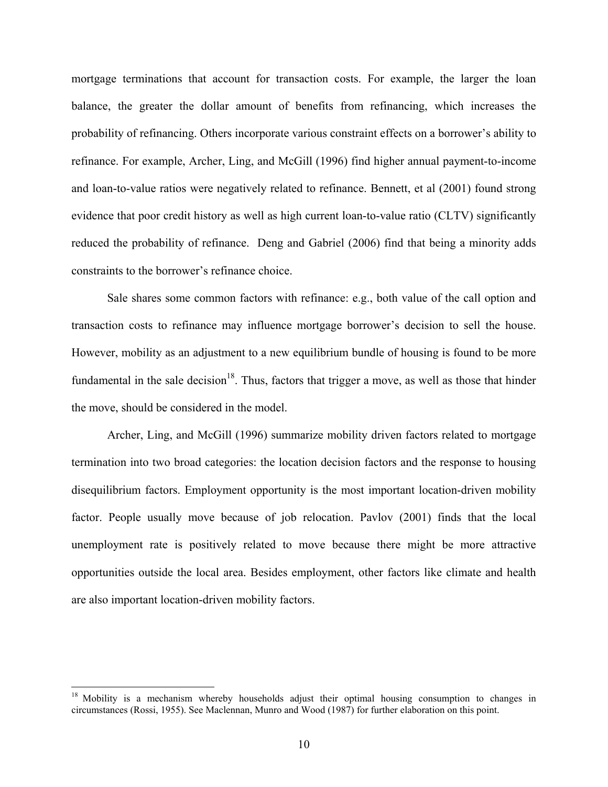mortgage terminations that account for transaction costs. For example, the larger the loan balance, the greater the dollar amount of benefits from refinancing, which increases the probability of refinancing. Others incorporate various constraint effects on a borrower's ability to refinance. For example, Archer, Ling, and McGill (1996) find higher annual payment-to-income and loan-to-value ratios were negatively related to refinance. Bennett, et al (2001) found strong evidence that poor credit history as well as high current loan-to-value ratio (CLTV) significantly reduced the probability of refinance. Deng and Gabriel (2006) find that being a minority adds constraints to the borrower's refinance choice.

Sale shares some common factors with refinance: e.g., both value of the call option and transaction costs to refinance may influence mortgage borrower's decision to sell the house. However, mobility as an adjustment to a new equilibrium bundle of housing is found to be more fundamental in the sale decision<sup>18</sup>. Thus, factors that trigger a move, as well as those that hinder the move, should be considered in the model.

Archer, Ling, and McGill (1996) summarize mobility driven factors related to mortgage termination into two broad categories: the location decision factors and the response to housing disequilibrium factors. Employment opportunity is the most important location-driven mobility factor. People usually move because of job relocation. Pavlov (2001) finds that the local unemployment rate is positively related to move because there might be more attractive opportunities outside the local area. Besides employment, other factors like climate and health are also important location-driven mobility factors.

<sup>&</sup>lt;sup>18</sup> Mobility is a mechanism whereby households adjust their optimal housing consumption to changes in circumstances (Rossi, 1955). See Maclennan, Munro and Wood (1987) for further elaboration on this point.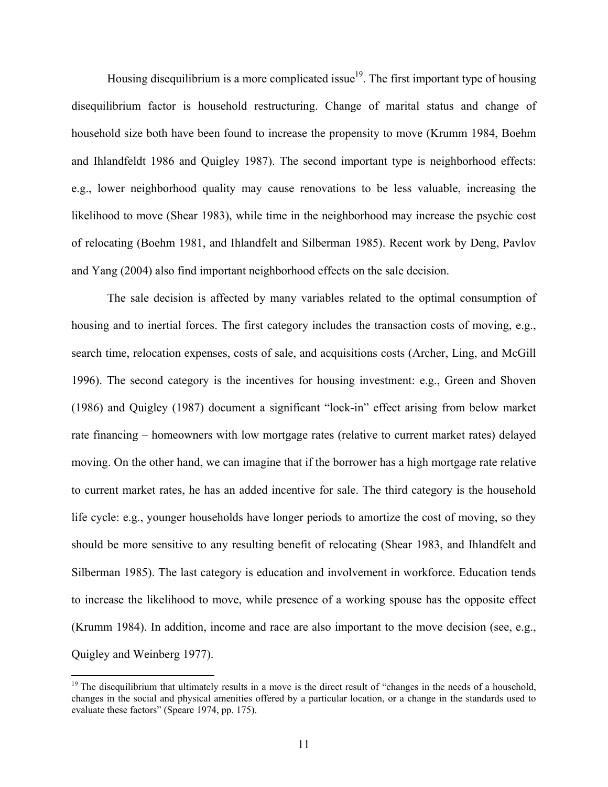Housing disequilibrium is a more complicated issue<sup>19</sup>. The first important type of housing disequilibrium factor is household restructuring. Change of marital status and change of household size both have been found to increase the propensity to move (Krumm 1984, Boehm and Ihlandfeldt 1986 and Quigley 1987). The second important type is neighborhood effects: e.g., lower neighborhood quality may cause renovations to be less valuable, increasing the likelihood to move (Shear 1983), while time in the neighborhood may increase the psychic cost of relocating (Boehm 1981, and Ihlandfelt and Silberman 1985). Recent work by Deng, Pavlov and Yang (2004) also find important neighborhood effects on the sale decision.

The sale decision is affected by many variables related to the optimal consumption of housing and to inertial forces. The first category includes the transaction costs of moving, e.g., search time, relocation expenses, costs of sale, and acquisitions costs (Archer, Ling, and McGill 1996). The second category is the incentives for housing investment: e.g., Green and Shoven (1986) and Quigley (1987) document a significant "lock-in" effect arising from below market rate financing – homeowners with low mortgage rates (relative to current market rates) delayed moving. On the other hand, we can imagine that if the borrower has a high mortgage rate relative to current market rates, he has an added incentive for sale. The third category is the household life cycle: e.g., younger households have longer periods to amortize the cost of moving, so they should be more sensitive to any resulting benefit of relocating (Shear 1983, and Ihlandfelt and Silberman 1985). The last category is education and involvement in workforce. Education tends to increase the likelihood to move, while presence of a working spouse has the opposite effect (Krumm 1984). In addition, income and race are also important to the move decision (see, e.g., Quigley and Weinberg 1977).

<sup>&</sup>lt;sup>19</sup> The disequilibrium that ultimately results in a move is the direct result of "changes in the needs of a household, changes in the social and physical amenities offered by a particular location, or a change in the standards used to evaluate these factors" (Speare 1974, pp. 175).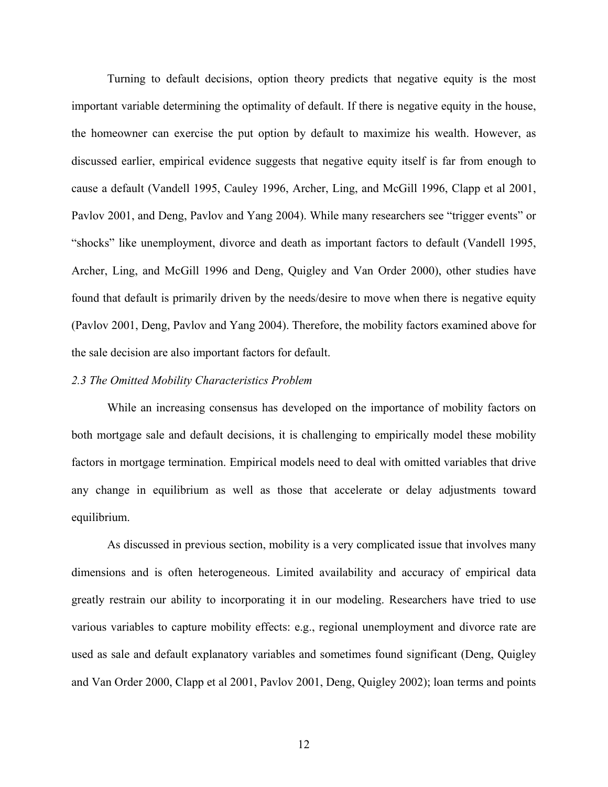Turning to default decisions, option theory predicts that negative equity is the most important variable determining the optimality of default. If there is negative equity in the house, the homeowner can exercise the put option by default to maximize his wealth. However, as discussed earlier, empirical evidence suggests that negative equity itself is far from enough to cause a default (Vandell 1995, Cauley 1996, Archer, Ling, and McGill 1996, Clapp et al 2001, Pavlov 2001, and Deng, Pavlov and Yang 2004). While many researchers see "trigger events" or "shocks" like unemployment, divorce and death as important factors to default (Vandell 1995, Archer, Ling, and McGill 1996 and Deng, Quigley and Van Order 2000), other studies have found that default is primarily driven by the needs/desire to move when there is negative equity (Pavlov 2001, Deng, Pavlov and Yang 2004). Therefore, the mobility factors examined above for the sale decision are also important factors for default.

#### *2.3 The Omitted Mobility Characteristics Problem*

While an increasing consensus has developed on the importance of mobility factors on both mortgage sale and default decisions, it is challenging to empirically model these mobility factors in mortgage termination. Empirical models need to deal with omitted variables that drive any change in equilibrium as well as those that accelerate or delay adjustments toward equilibrium.

As discussed in previous section, mobility is a very complicated issue that involves many dimensions and is often heterogeneous. Limited availability and accuracy of empirical data greatly restrain our ability to incorporating it in our modeling. Researchers have tried to use various variables to capture mobility effects: e.g., regional unemployment and divorce rate are used as sale and default explanatory variables and sometimes found significant (Deng, Quigley and Van Order 2000, Clapp et al 2001, Pavlov 2001, Deng, Quigley 2002); loan terms and points

12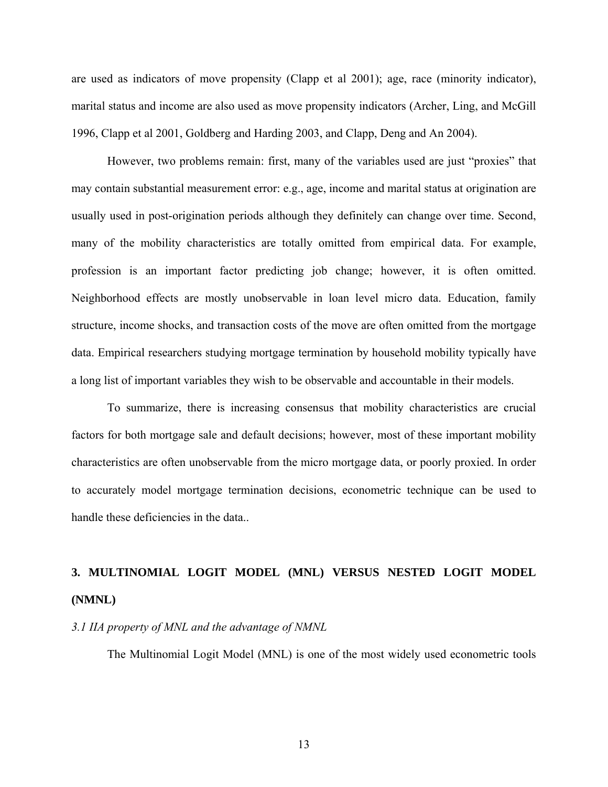are used as indicators of move propensity (Clapp et al 2001); age, race (minority indicator), marital status and income are also used as move propensity indicators (Archer, Ling, and McGill 1996, Clapp et al 2001, Goldberg and Harding 2003, and Clapp, Deng and An 2004).

However, two problems remain: first, many of the variables used are just "proxies" that may contain substantial measurement error: e.g., age, income and marital status at origination are usually used in post-origination periods although they definitely can change over time. Second, many of the mobility characteristics are totally omitted from empirical data. For example, profession is an important factor predicting job change; however, it is often omitted. Neighborhood effects are mostly unobservable in loan level micro data. Education, family structure, income shocks, and transaction costs of the move are often omitted from the mortgage data. Empirical researchers studying mortgage termination by household mobility typically have a long list of important variables they wish to be observable and accountable in their models.

To summarize, there is increasing consensus that mobility characteristics are crucial factors for both mortgage sale and default decisions; however, most of these important mobility characteristics are often unobservable from the micro mortgage data, or poorly proxied. In order to accurately model mortgage termination decisions, econometric technique can be used to handle these deficiencies in the data..

## **3. MULTINOMIAL LOGIT MODEL (MNL) VERSUS NESTED LOGIT MODEL (NMNL)**

#### *3.1 IIA property of MNL and the advantage of NMNL*

The Multinomial Logit Model (MNL) is one of the most widely used econometric tools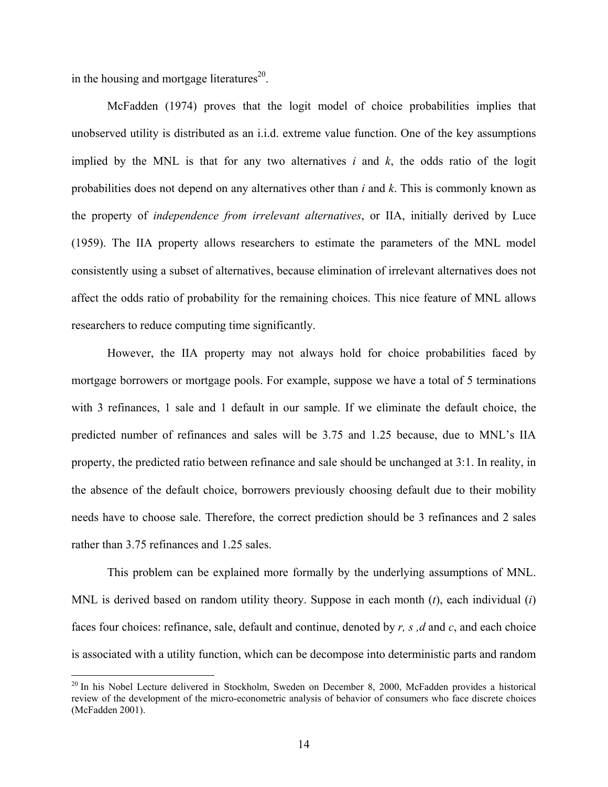in the housing and mortgage literatures $^{20}$ .

 $\overline{a}$ 

McFadden (1974) proves that the logit model of choice probabilities implies that unobserved utility is distributed as an i.i.d. extreme value function. One of the key assumptions implied by the MNL is that for any two alternatives *i* and *k*, the odds ratio of the logit probabilities does not depend on any alternatives other than *i* and *k*. This is commonly known as the property of *independence from irrelevant alternatives*, or IIA, initially derived by Luce (1959). The IIA property allows researchers to estimate the parameters of the MNL model consistently using a subset of alternatives, because elimination of irrelevant alternatives does not affect the odds ratio of probability for the remaining choices. This nice feature of MNL allows researchers to reduce computing time significantly.

However, the IIA property may not always hold for choice probabilities faced by mortgage borrowers or mortgage pools. For example, suppose we have a total of 5 terminations with 3 refinances, 1 sale and 1 default in our sample. If we eliminate the default choice, the predicted number of refinances and sales will be 3.75 and 1.25 because, due to MNL's IIA property, the predicted ratio between refinance and sale should be unchanged at 3:1. In reality, in the absence of the default choice, borrowers previously choosing default due to their mobility needs have to choose sale. Therefore, the correct prediction should be 3 refinances and 2 sales rather than 3.75 refinances and 1.25 sales.

This problem can be explained more formally by the underlying assumptions of MNL. MNL is derived based on random utility theory. Suppose in each month (*t*), each individual (*i*) faces four choices: refinance, sale, default and continue, denoted by *r, s ,d* and *c*, and each choice is associated with a utility function, which can be decompose into deterministic parts and random

<sup>&</sup>lt;sup>20</sup> In his Nobel Lecture delivered in Stockholm, Sweden on December 8, 2000, McFadden provides a historical review of the development of the micro-econometric analysis of behavior of consumers who face discrete choices (McFadden 2001).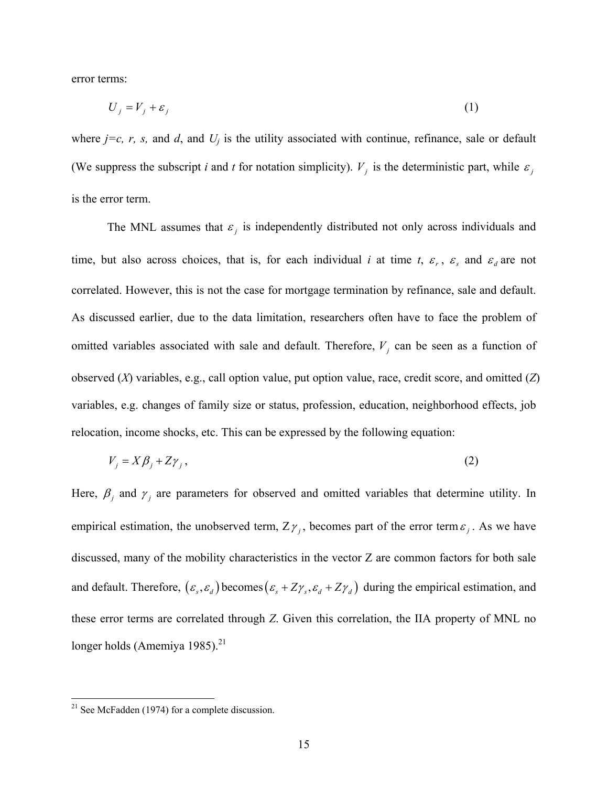error terms:

$$
U_j = V_j + \varepsilon_j \tag{1}
$$

where  $j=c$ , r, s, and d, and  $U_j$  is the utility associated with continue, refinance, sale or default (We suppress the subscript *i* and *t* for notation simplicity).  $V_i$  is the deterministic part, while  $\varepsilon_i$ is the error term.

The MNL assumes that  $\varepsilon$ <sub>i</sub> is independently distributed not only across individuals and time, but also across choices, that is, for each individual *i* at time *t*,  $\varepsilon_r$ ,  $\varepsilon_s$  and  $\varepsilon_d$  are not correlated. However, this is not the case for mortgage termination by refinance, sale and default. As discussed earlier, due to the data limitation, researchers often have to face the problem of omitted variables associated with sale and default. Therefore,  $V_i$  can be seen as a function of observed (*X*) variables, e.g., call option value, put option value, race, credit score, and omitted (*Z*) variables, e.g. changes of family size or status, profession, education, neighborhood effects, job relocation, income shocks, etc. This can be expressed by the following equation:

$$
V_j = X\beta_j + Z\gamma_j,\tag{2}
$$

Here,  $\beta$  and  $\gamma$  are parameters for observed and omitted variables that determine utility. In empirical estimation, the unobserved term,  $Z\gamma$ , becomes part of the error term  $\varepsilon$ , As we have discussed, many of the mobility characteristics in the vector Z are common factors for both sale and default. Therefore,  $(\varepsilon_s, \varepsilon_d)$  becomes  $(\varepsilon_s + Z\gamma_s, \varepsilon_d + Z\gamma_d)$  during the empirical estimation, and these error terms are correlated through *Z*. Given this correlation, the IIA property of MNL no longer holds (Amemiya 1985). $^{21}$ 

 $2<sup>21</sup>$  See McFadden (1974) for a complete discussion.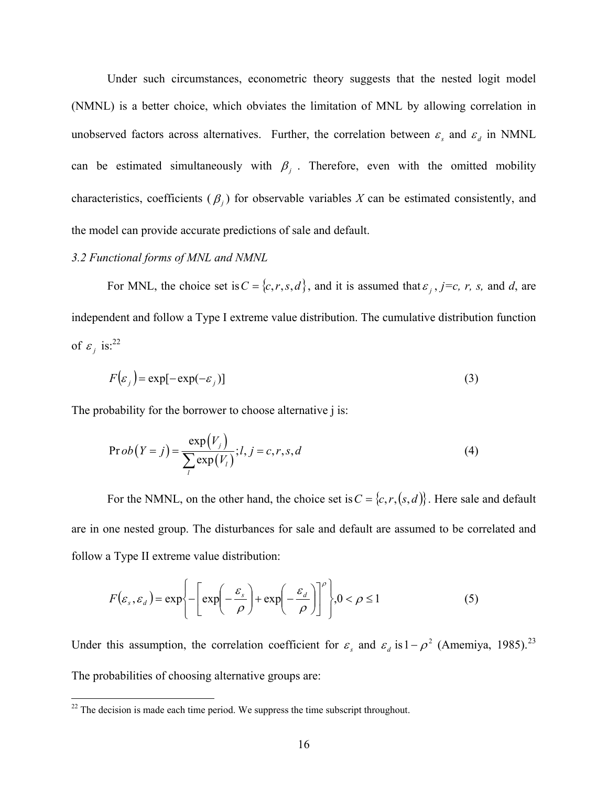Under such circumstances, econometric theory suggests that the nested logit model (NMNL) is a better choice, which obviates the limitation of MNL by allowing correlation in unobserved factors across alternatives. Further, the correlation between  $\varepsilon$ <sub>s</sub> and  $\varepsilon$ <sub>d</sub> in NMNL can be estimated simultaneously with  $\beta_j$ . Therefore, even with the omitted mobility characteristics, coefficients  $(\beta_i)$  for observable variables *X* can be estimated consistently, and the model can provide accurate predictions of sale and default.

#### *3.2 Functional forms of MNL and NMNL*

For MNL, the choice set is  $C = \{c, r, s, d\}$ , and it is assumed that  $\varepsilon_j$ ,  $j=c$ , r, s, and *d*, are independent and follow a Type I extreme value distribution. The cumulative distribution function of  $\varepsilon_i$  is:<sup>22</sup>

$$
F(\varepsilon_j) = \exp[-\exp(-\varepsilon_j)]
$$
\n(3)

The probability for the borrower to choose alternative *i* is:

$$
\Pr{ob(Y=j)} = \frac{\exp(V_j)}{\sum_{l} \exp(V_l)}; l, j = c, r, s, d
$$
\n(4)

For the NMNL, on the other hand, the choice set is  $C = \{c, r, (s, d)\}$ . Here sale and default are in one nested group. The disturbances for sale and default are assumed to be correlated and follow a Type II extreme value distribution:

$$
F(\varepsilon_s, \varepsilon_d) = \exp\left\{-\left[\exp\left(-\frac{\varepsilon_s}{\rho}\right) + \exp\left(-\frac{\varepsilon_d}{\rho}\right)\right]^\rho\right\}, 0 < \rho \le 1
$$
 (5)

Under this assumption, the correlation coefficient for  $\varepsilon_s$  and  $\varepsilon_d$  is  $1-\rho^2$  (Amemiya, 1985).<sup>23</sup> The probabilities of choosing alternative groups are:

<u>.</u>

 $22$ <sup>22</sup> The decision is made each time period. We suppress the time subscript throughout.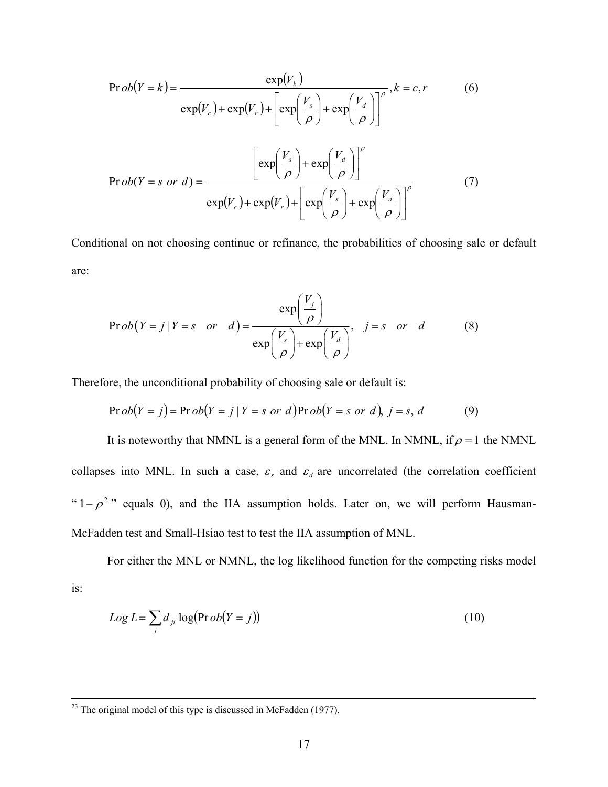$$
\Pr ob(Y = k) = \frac{\exp(V_k)}{\exp(V_c) + \exp(V_r) + \left[\exp\left(\frac{V_s}{\rho}\right) + \exp\left(\frac{V_d}{\rho}\right)\right]^\rho}, k = c, r \tag{6}
$$
\n
$$
\Pr ob(Y = s \text{ or } d) = \frac{\left[\exp\left(\frac{V_s}{\rho}\right) + \exp\left(\frac{V_d}{\rho}\right)\right]^\rho}{\exp(V_c) + \exp(V_r) + \left[\exp\left(\frac{V_s}{\rho}\right) + \exp\left(\frac{V_d}{\rho}\right)\right]^\rho} \tag{7}
$$

Conditional on not choosing continue or refinance, the probabilities of choosing sale or default are:

$$
\Pr{ob(Y=j | Y=s \text{ or } d)} = \frac{\exp\left(\frac{V_j}{\rho}\right)}{\exp\left(\frac{V_s}{\rho}\right) + \exp\left(\frac{V_d}{\rho}\right)}, \quad j=s \text{ or } d \tag{8}
$$

Therefore, the unconditional probability of choosing sale or default is:

$$
\Pr{ob(Y = j) = \Pr{ob(Y = j | Y = s \text{ or } d)} } \Pr{ob(Y = s \text{ or } d), j = s, d} \tag{9}
$$

It is noteworthy that NMNL is a general form of the MNL. In NMNL, if  $\rho = 1$  the NMNL collapses into MNL. In such a case,  $\varepsilon$ <sub>s</sub> and  $\varepsilon$ <sub>d</sub> are uncorrelated (the correlation coefficient "  $1 - \rho^2$ " equals 0), and the IIA assumption holds. Later on, we will perform Hausman-McFadden test and Small-Hsiao test to test the IIA assumption of MNL.

For either the MNL or NMNL, the log likelihood function for the competing risks model is:

$$
Log L = \sum_{j} d_{ji} log(Prob(Y = j))
$$
\n(10)

 $23$  The original model of this type is discussed in McFadden (1977).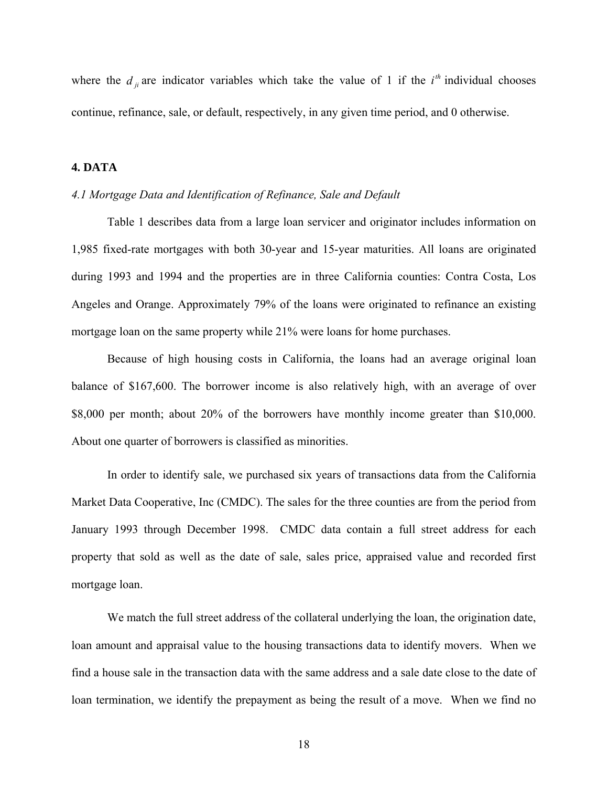where the  $d_{ij}$  are indicator variables which take the value of 1 if the  $i^{th}$  individual chooses continue, refinance, sale, or default, respectively, in any given time period, and 0 otherwise.

#### **4. DATA**

#### *4.1 Mortgage Data and Identification of Refinance, Sale and Default*

Table 1 describes data from a large loan servicer and originator includes information on 1,985 fixed-rate mortgages with both 30-year and 15-year maturities. All loans are originated during 1993 and 1994 and the properties are in three California counties: Contra Costa, Los Angeles and Orange. Approximately 79% of the loans were originated to refinance an existing mortgage loan on the same property while 21% were loans for home purchases.

Because of high housing costs in California, the loans had an average original loan balance of \$167,600. The borrower income is also relatively high, with an average of over \$8,000 per month; about 20% of the borrowers have monthly income greater than \$10,000. About one quarter of borrowers is classified as minorities.

In order to identify sale, we purchased six years of transactions data from the California Market Data Cooperative, Inc (CMDC). The sales for the three counties are from the period from January 1993 through December 1998. CMDC data contain a full street address for each property that sold as well as the date of sale, sales price, appraised value and recorded first mortgage loan.

We match the full street address of the collateral underlying the loan, the origination date, loan amount and appraisal value to the housing transactions data to identify movers. When we find a house sale in the transaction data with the same address and a sale date close to the date of loan termination, we identify the prepayment as being the result of a move. When we find no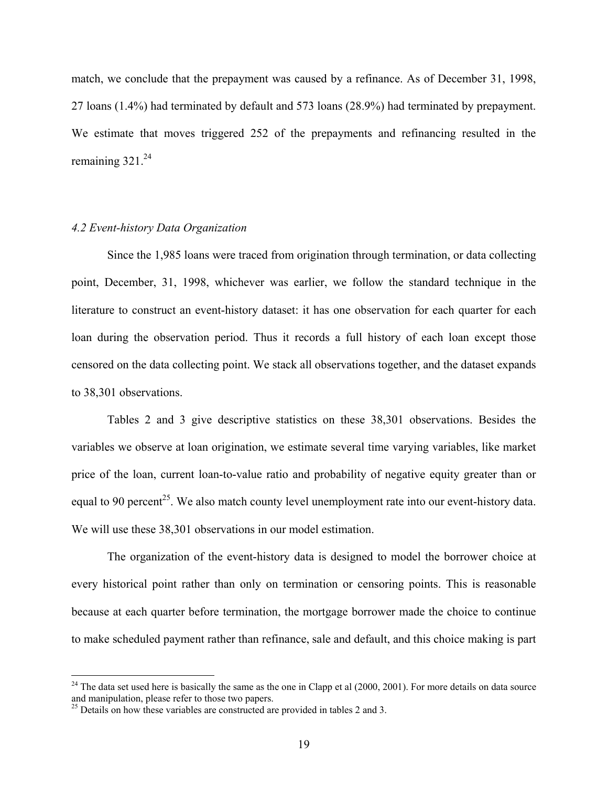match, we conclude that the prepayment was caused by a refinance. As of December 31, 1998, 27 loans (1.4%) had terminated by default and 573 loans (28.9%) had terminated by prepayment. We estimate that moves triggered 252 of the prepayments and refinancing resulted in the remaining  $321.^{24}$ 

#### *4.2 Event-history Data Organization*

Since the 1,985 loans were traced from origination through termination, or data collecting point, December, 31, 1998, whichever was earlier, we follow the standard technique in the literature to construct an event-history dataset: it has one observation for each quarter for each loan during the observation period. Thus it records a full history of each loan except those censored on the data collecting point. We stack all observations together, and the dataset expands to 38,301 observations.

Tables 2 and 3 give descriptive statistics on these 38,301 observations. Besides the variables we observe at loan origination, we estimate several time varying variables, like market price of the loan, current loan-to-value ratio and probability of negative equity greater than or equal to 90 percent<sup>25</sup>. We also match county level unemployment rate into our event-history data. We will use these 38,301 observations in our model estimation.

The organization of the event-history data is designed to model the borrower choice at every historical point rather than only on termination or censoring points. This is reasonable because at each quarter before termination, the mortgage borrower made the choice to continue to make scheduled payment rather than refinance, sale and default, and this choice making is part

1

 $^{24}$  The data set used here is basically the same as the one in Clapp et al (2000, 2001). For more details on data source and manipulation, please refer to those two papers.

 $^{25}$  Details on how these variables are constructed are provided in tables 2 and 3.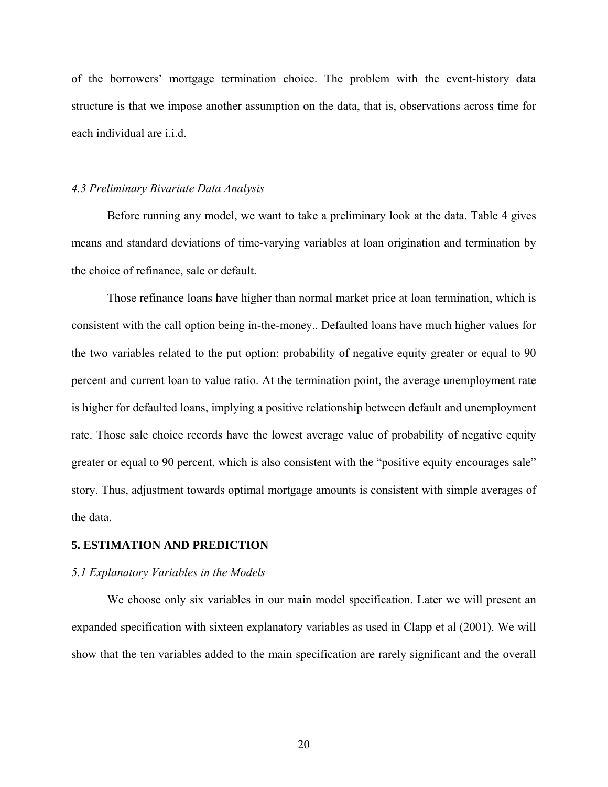of the borrowers' mortgage termination choice. The problem with the event-history data structure is that we impose another assumption on the data, that is, observations across time for each individual are i.i.d.

#### *4.3 Preliminary Bivariate Data Analysis*

Before running any model, we want to take a preliminary look at the data. Table 4 gives means and standard deviations of time-varying variables at loan origination and termination by the choice of refinance, sale or default.

Those refinance loans have higher than normal market price at loan termination, which is consistent with the call option being in-the-money.. Defaulted loans have much higher values for the two variables related to the put option: probability of negative equity greater or equal to 90 percent and current loan to value ratio. At the termination point, the average unemployment rate is higher for defaulted loans, implying a positive relationship between default and unemployment rate. Those sale choice records have the lowest average value of probability of negative equity greater or equal to 90 percent, which is also consistent with the "positive equity encourages sale" story. Thus, adjustment towards optimal mortgage amounts is consistent with simple averages of the data.

#### **5. ESTIMATION AND PREDICTION**

#### *5.1 Explanatory Variables in the Models*

We choose only six variables in our main model specification. Later we will present an expanded specification with sixteen explanatory variables as used in Clapp et al (2001). We will show that the ten variables added to the main specification are rarely significant and the overall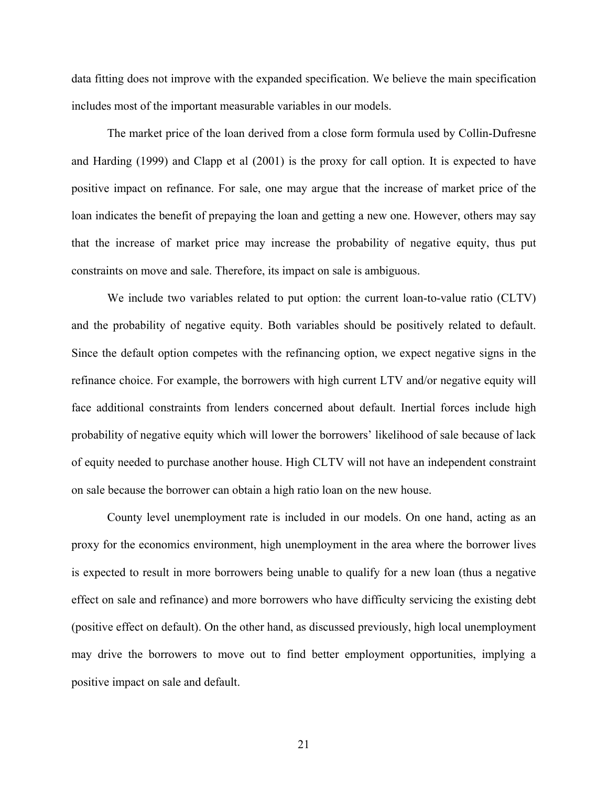data fitting does not improve with the expanded specification. We believe the main specification includes most of the important measurable variables in our models.

The market price of the loan derived from a close form formula used by Collin-Dufresne and Harding (1999) and Clapp et al (2001) is the proxy for call option. It is expected to have positive impact on refinance. For sale, one may argue that the increase of market price of the loan indicates the benefit of prepaying the loan and getting a new one. However, others may say that the increase of market price may increase the probability of negative equity, thus put constraints on move and sale. Therefore, its impact on sale is ambiguous.

We include two variables related to put option: the current loan-to-value ratio (CLTV) and the probability of negative equity. Both variables should be positively related to default. Since the default option competes with the refinancing option, we expect negative signs in the refinance choice. For example, the borrowers with high current LTV and/or negative equity will face additional constraints from lenders concerned about default. Inertial forces include high probability of negative equity which will lower the borrowers' likelihood of sale because of lack of equity needed to purchase another house. High CLTV will not have an independent constraint on sale because the borrower can obtain a high ratio loan on the new house.

County level unemployment rate is included in our models. On one hand, acting as an proxy for the economics environment, high unemployment in the area where the borrower lives is expected to result in more borrowers being unable to qualify for a new loan (thus a negative effect on sale and refinance) and more borrowers who have difficulty servicing the existing debt (positive effect on default). On the other hand, as discussed previously, high local unemployment may drive the borrowers to move out to find better employment opportunities, implying a positive impact on sale and default.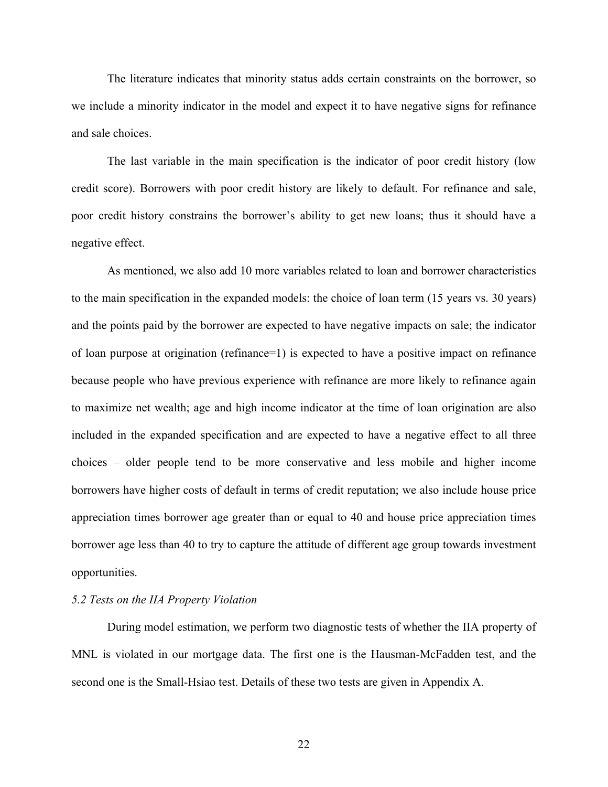The literature indicates that minority status adds certain constraints on the borrower, so we include a minority indicator in the model and expect it to have negative signs for refinance and sale choices.

The last variable in the main specification is the indicator of poor credit history (low credit score). Borrowers with poor credit history are likely to default. For refinance and sale, poor credit history constrains the borrower's ability to get new loans; thus it should have a negative effect.

As mentioned, we also add 10 more variables related to loan and borrower characteristics to the main specification in the expanded models: the choice of loan term (15 years vs. 30 years) and the points paid by the borrower are expected to have negative impacts on sale; the indicator of loan purpose at origination (refinance=1) is expected to have a positive impact on refinance because people who have previous experience with refinance are more likely to refinance again to maximize net wealth; age and high income indicator at the time of loan origination are also included in the expanded specification and are expected to have a negative effect to all three choices – older people tend to be more conservative and less mobile and higher income borrowers have higher costs of default in terms of credit reputation; we also include house price appreciation times borrower age greater than or equal to 40 and house price appreciation times borrower age less than 40 to try to capture the attitude of different age group towards investment opportunities.

#### *5.2 Tests on the IIA Property Violation*

During model estimation, we perform two diagnostic tests of whether the IIA property of MNL is violated in our mortgage data. The first one is the Hausman-McFadden test, and the second one is the Small-Hsiao test. Details of these two tests are given in Appendix A.

22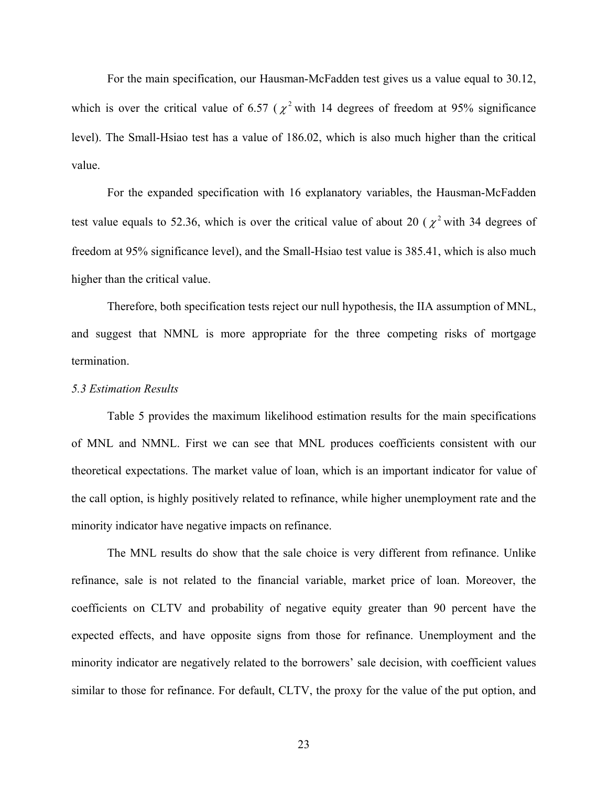For the main specification, our Hausman-McFadden test gives us a value equal to 30.12, which is over the critical value of 6.57 ( $\chi^2$  with 14 degrees of freedom at 95% significance level). The Small-Hsiao test has a value of 186.02, which is also much higher than the critical value.

For the expanded specification with 16 explanatory variables, the Hausman-McFadden test value equals to 52.36, which is over the critical value of about 20 ( $\chi^2$  with 34 degrees of freedom at 95% significance level), and the Small-Hsiao test value is 385.41, which is also much higher than the critical value.

Therefore, both specification tests reject our null hypothesis, the IIA assumption of MNL, and suggest that NMNL is more appropriate for the three competing risks of mortgage termination.

#### *5.3 Estimation Results*

Table 5 provides the maximum likelihood estimation results for the main specifications of MNL and NMNL. First we can see that MNL produces coefficients consistent with our theoretical expectations. The market value of loan, which is an important indicator for value of the call option, is highly positively related to refinance, while higher unemployment rate and the minority indicator have negative impacts on refinance.

The MNL results do show that the sale choice is very different from refinance. Unlike refinance, sale is not related to the financial variable, market price of loan. Moreover, the coefficients on CLTV and probability of negative equity greater than 90 percent have the expected effects, and have opposite signs from those for refinance. Unemployment and the minority indicator are negatively related to the borrowers' sale decision, with coefficient values similar to those for refinance. For default, CLTV, the proxy for the value of the put option, and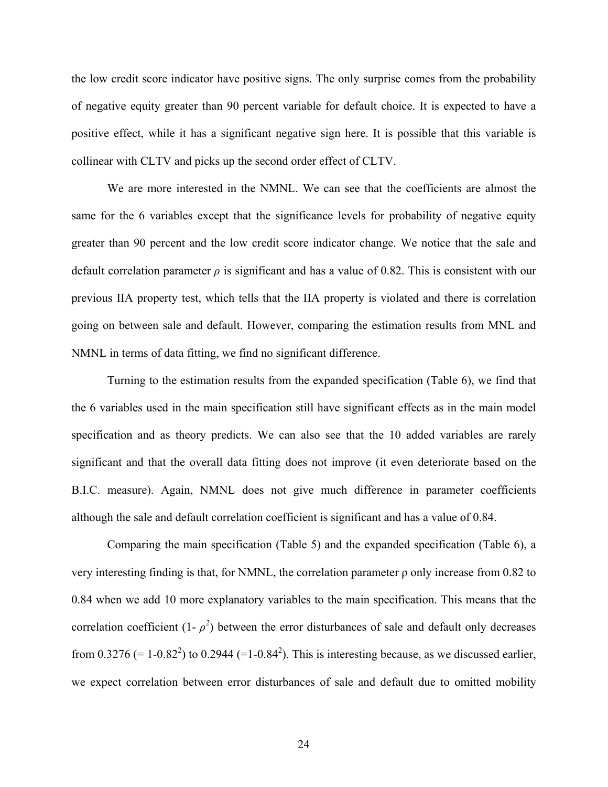the low credit score indicator have positive signs. The only surprise comes from the probability of negative equity greater than 90 percent variable for default choice. It is expected to have a positive effect, while it has a significant negative sign here. It is possible that this variable is collinear with CLTV and picks up the second order effect of CLTV.

We are more interested in the NMNL. We can see that the coefficients are almost the same for the 6 variables except that the significance levels for probability of negative equity greater than 90 percent and the low credit score indicator change. We notice that the sale and default correlation parameter  $\rho$  is significant and has a value of 0.82. This is consistent with our previous IIA property test, which tells that the IIA property is violated and there is correlation going on between sale and default. However, comparing the estimation results from MNL and NMNL in terms of data fitting, we find no significant difference.

Turning to the estimation results from the expanded specification (Table 6), we find that the 6 variables used in the main specification still have significant effects as in the main model specification and as theory predicts. We can also see that the 10 added variables are rarely significant and that the overall data fitting does not improve (it even deteriorate based on the B.I.C. measure). Again, NMNL does not give much difference in parameter coefficients although the sale and default correlation coefficient is significant and has a value of 0.84.

Comparing the main specification (Table 5) and the expanded specification (Table 6), a very interesting finding is that, for NMNL, the correlation parameter ρ only increase from 0.82 to 0.84 when we add 10 more explanatory variables to the main specification. This means that the correlation coefficient  $(1 - \rho^2)$  between the error disturbances of sale and default only decreases from 0.3276 (= 1-0.82<sup>2</sup>) to 0.2944 (=1-0.84<sup>2</sup>). This is interesting because, as we discussed earlier, we expect correlation between error disturbances of sale and default due to omitted mobility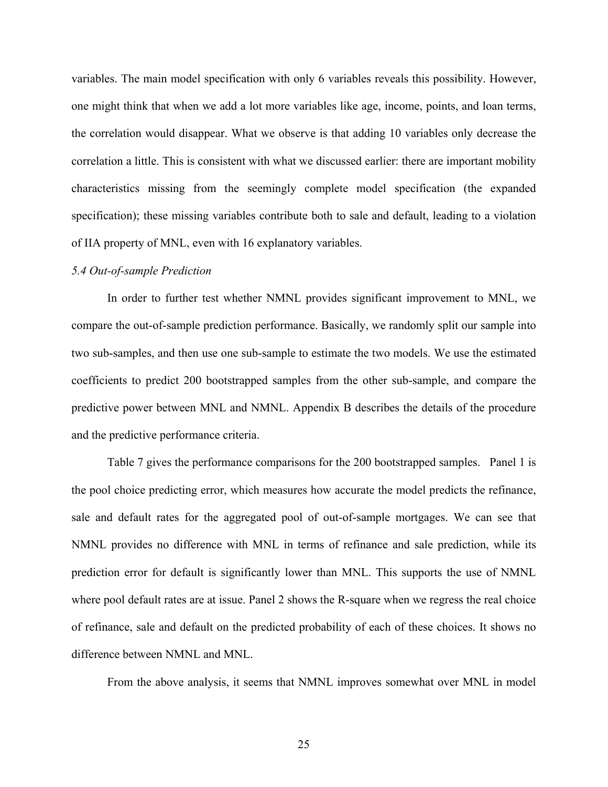variables. The main model specification with only 6 variables reveals this possibility. However, one might think that when we add a lot more variables like age, income, points, and loan terms, the correlation would disappear. What we observe is that adding 10 variables only decrease the correlation a little. This is consistent with what we discussed earlier: there are important mobility characteristics missing from the seemingly complete model specification (the expanded specification); these missing variables contribute both to sale and default, leading to a violation of IIA property of MNL, even with 16 explanatory variables.

#### *5.4 Out-of-sample Prediction*

In order to further test whether NMNL provides significant improvement to MNL, we compare the out-of-sample prediction performance. Basically, we randomly split our sample into two sub-samples, and then use one sub-sample to estimate the two models. We use the estimated coefficients to predict 200 bootstrapped samples from the other sub-sample, and compare the predictive power between MNL and NMNL. Appendix B describes the details of the procedure and the predictive performance criteria.

Table 7 gives the performance comparisons for the 200 bootstrapped samples. Panel 1 is the pool choice predicting error, which measures how accurate the model predicts the refinance, sale and default rates for the aggregated pool of out-of-sample mortgages. We can see that NMNL provides no difference with MNL in terms of refinance and sale prediction, while its prediction error for default is significantly lower than MNL. This supports the use of NMNL where pool default rates are at issue. Panel 2 shows the R-square when we regress the real choice of refinance, sale and default on the predicted probability of each of these choices. It shows no difference between NMNL and MNL.

From the above analysis, it seems that NMNL improves somewhat over MNL in model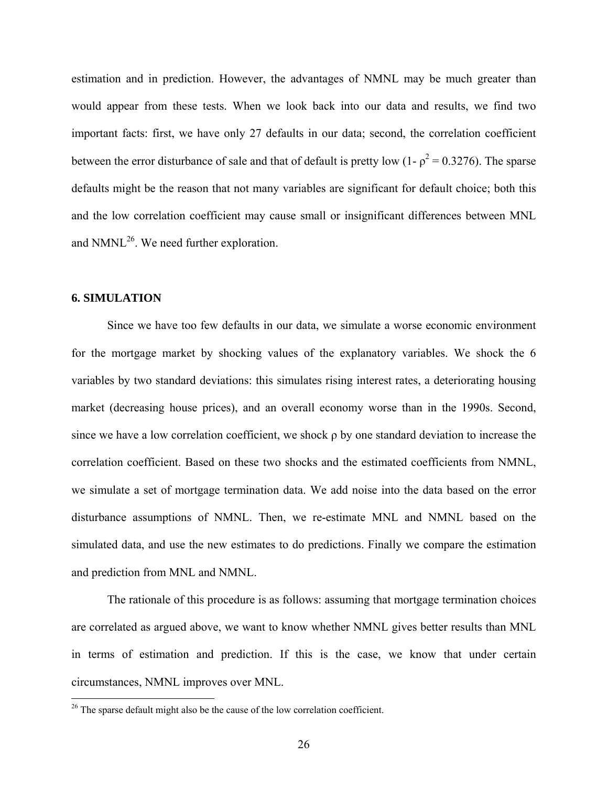estimation and in prediction. However, the advantages of NMNL may be much greater than would appear from these tests. When we look back into our data and results, we find two important facts: first, we have only 27 defaults in our data; second, the correlation coefficient between the error disturbance of sale and that of default is pretty low (1-  $\rho^2 = 0.3276$ ). The sparse defaults might be the reason that not many variables are significant for default choice; both this and the low correlation coefficient may cause small or insignificant differences between MNL and  $N MNL<sup>26</sup>$ . We need further exploration.

#### **6. SIMULATION**

 $\overline{a}$ 

Since we have too few defaults in our data, we simulate a worse economic environment for the mortgage market by shocking values of the explanatory variables. We shock the 6 variables by two standard deviations: this simulates rising interest rates, a deteriorating housing market (decreasing house prices), and an overall economy worse than in the 1990s. Second, since we have a low correlation coefficient, we shock ρ by one standard deviation to increase the correlation coefficient. Based on these two shocks and the estimated coefficients from NMNL, we simulate a set of mortgage termination data. We add noise into the data based on the error disturbance assumptions of NMNL. Then, we re-estimate MNL and NMNL based on the simulated data, and use the new estimates to do predictions. Finally we compare the estimation and prediction from MNL and NMNL.

The rationale of this procedure is as follows: assuming that mortgage termination choices are correlated as argued above, we want to know whether NMNL gives better results than MNL in terms of estimation and prediction. If this is the case, we know that under certain circumstances, NMNL improves over MNL.

 $26$ <sup>26</sup> The sparse default might also be the cause of the low correlation coefficient.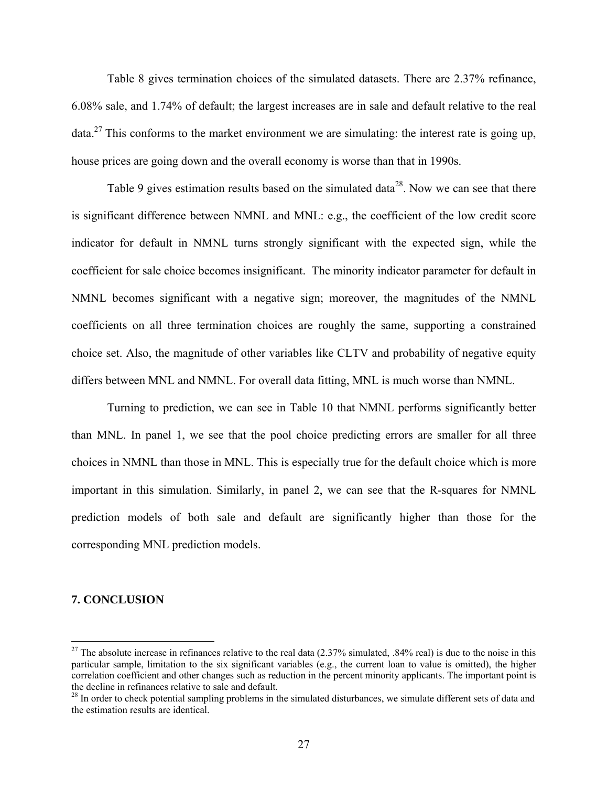Table 8 gives termination choices of the simulated datasets. There are 2.37% refinance, 6.08% sale, and 1.74% of default; the largest increases are in sale and default relative to the real  $data<sup>27</sup>$  This conforms to the market environment we are simulating: the interest rate is going up, house prices are going down and the overall economy is worse than that in 1990s.

Table 9 gives estimation results based on the simulated data<sup>28</sup>. Now we can see that there is significant difference between NMNL and MNL: e.g., the coefficient of the low credit score indicator for default in NMNL turns strongly significant with the expected sign, while the coefficient for sale choice becomes insignificant. The minority indicator parameter for default in NMNL becomes significant with a negative sign; moreover, the magnitudes of the NMNL coefficients on all three termination choices are roughly the same, supporting a constrained choice set. Also, the magnitude of other variables like CLTV and probability of negative equity differs between MNL and NMNL. For overall data fitting, MNL is much worse than NMNL.

Turning to prediction, we can see in Table 10 that NMNL performs significantly better than MNL. In panel 1, we see that the pool choice predicting errors are smaller for all three choices in NMNL than those in MNL. This is especially true for the default choice which is more important in this simulation. Similarly, in panel 2, we can see that the R-squares for NMNL prediction models of both sale and default are significantly higher than those for the corresponding MNL prediction models.

#### **7. CONCLUSION**

<sup>&</sup>lt;sup>27</sup> The absolute increase in refinances relative to the real data  $(2.37\%$  simulated,  $.84\%$  real) is due to the noise in this particular sample, limitation to the six significant variables (e.g., the current loan to value is omitted), the higher correlation coefficient and other changes such as reduction in the percent minority applicants. The important point is the decline in refinances relative to sale and default.

 $28$  In order to check potential sampling problems in the simulated disturbances, we simulate different sets of data and the estimation results are identical.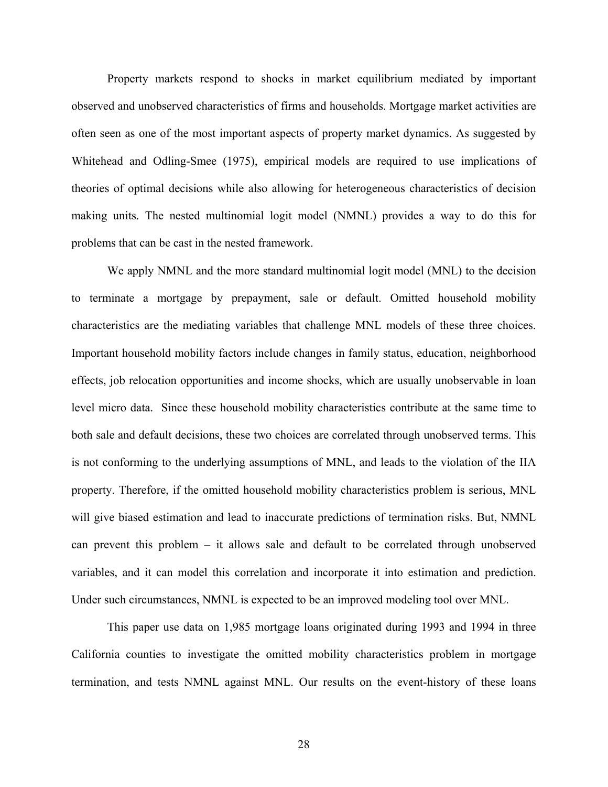Property markets respond to shocks in market equilibrium mediated by important observed and unobserved characteristics of firms and households. Mortgage market activities are often seen as one of the most important aspects of property market dynamics. As suggested by Whitehead and Odling-Smee (1975), empirical models are required to use implications of theories of optimal decisions while also allowing for heterogeneous characteristics of decision making units. The nested multinomial logit model (NMNL) provides a way to do this for problems that can be cast in the nested framework.

We apply NMNL and the more standard multinomial logit model (MNL) to the decision to terminate a mortgage by prepayment, sale or default. Omitted household mobility characteristics are the mediating variables that challenge MNL models of these three choices. Important household mobility factors include changes in family status, education, neighborhood effects, job relocation opportunities and income shocks, which are usually unobservable in loan level micro data. Since these household mobility characteristics contribute at the same time to both sale and default decisions, these two choices are correlated through unobserved terms. This is not conforming to the underlying assumptions of MNL, and leads to the violation of the IIA property. Therefore, if the omitted household mobility characteristics problem is serious, MNL will give biased estimation and lead to inaccurate predictions of termination risks. But, NMNL can prevent this problem – it allows sale and default to be correlated through unobserved variables, and it can model this correlation and incorporate it into estimation and prediction. Under such circumstances, NMNL is expected to be an improved modeling tool over MNL.

This paper use data on 1,985 mortgage loans originated during 1993 and 1994 in three California counties to investigate the omitted mobility characteristics problem in mortgage termination, and tests NMNL against MNL. Our results on the event-history of these loans

28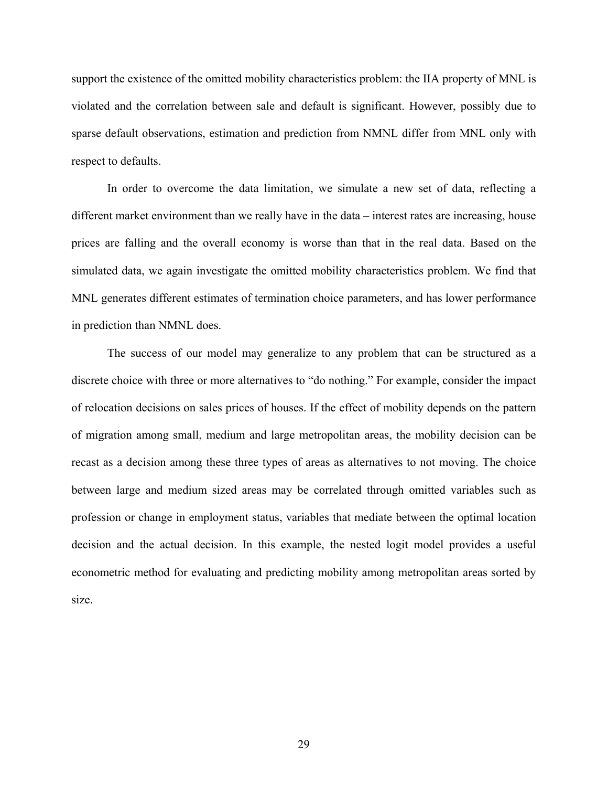support the existence of the omitted mobility characteristics problem: the IIA property of MNL is violated and the correlation between sale and default is significant. However, possibly due to sparse default observations, estimation and prediction from NMNL differ from MNL only with respect to defaults.

In order to overcome the data limitation, we simulate a new set of data, reflecting a different market environment than we really have in the data – interest rates are increasing, house prices are falling and the overall economy is worse than that in the real data. Based on the simulated data, we again investigate the omitted mobility characteristics problem. We find that MNL generates different estimates of termination choice parameters, and has lower performance in prediction than NMNL does.

The success of our model may generalize to any problem that can be structured as a discrete choice with three or more alternatives to "do nothing." For example, consider the impact of relocation decisions on sales prices of houses. If the effect of mobility depends on the pattern of migration among small, medium and large metropolitan areas, the mobility decision can be recast as a decision among these three types of areas as alternatives to not moving. The choice between large and medium sized areas may be correlated through omitted variables such as profession or change in employment status, variables that mediate between the optimal location decision and the actual decision. In this example, the nested logit model provides a useful econometric method for evaluating and predicting mobility among metropolitan areas sorted by size.

29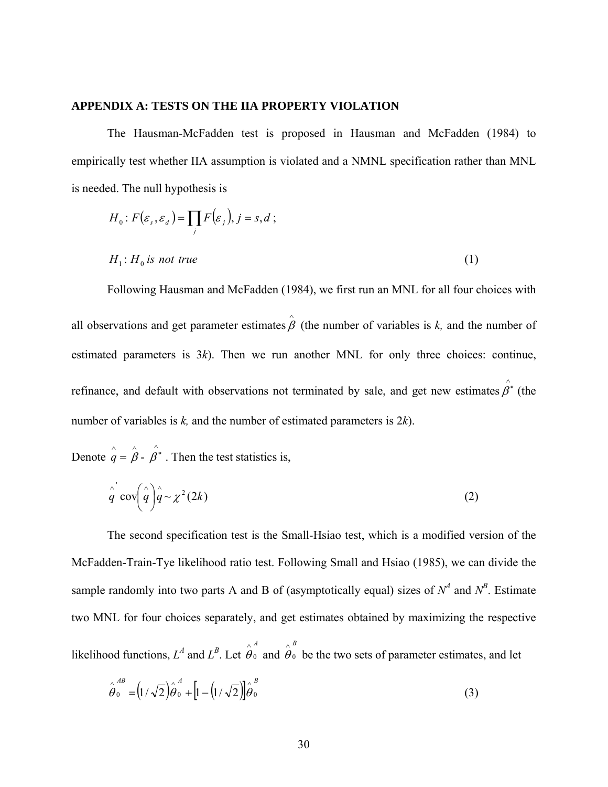#### **APPENDIX A: TESTS ON THE IIA PROPERTY VIOLATION**

The Hausman-McFadden test is proposed in Hausman and McFadden (1984) to empirically test whether IIA assumption is violated and a NMNL specification rather than MNL is needed. The null hypothesis is

$$
H_0: F(\varepsilon_s, \varepsilon_d) = \prod_j F(\varepsilon_j), j = s, d;
$$
  

$$
H_1: H_0 \text{ is not true}
$$
 (1)

Following Hausman and McFadden (1984), we first run an MNL for all four choices with all observations and get parameter estimates  $\hat{\beta}$  (the number of variables is *k*, and the number of estimated parameters is 3*k*). Then we run another MNL for only three choices: continue, refinance, and default with observations not terminated by sale, and get new estimates  $\rho^*$  (the number of variables is *k,* and the number of estimated parameters is 2*k*).

Denote  $\hat{\hat{q}} = \hat{\hat{\beta}}$  - $\hat{\beta}^*$  . Then the test statistics is,

$$
\hat{q}^{\dagger} \operatorname{cov} \left( \hat{q} \right) \hat{q} \sim \chi^2 (2k) \tag{2}
$$

The second specification test is the Small-Hsiao test, which is a modified version of the McFadden-Train-Tye likelihood ratio test. Following Small and Hsiao (1985), we can divide the sample randomly into two parts A and B of (asymptotically equal) sizes of  $N^4$  and  $N^B$ . Estimate two MNL for four choices separately, and get estimates obtained by maximizing the respective *A B*

likelihood functions,  $L^A$  and  $L^B$ . Let 0  $\hat{\theta}^{\scriptscriptstyle A}_{0}$  and 0  $\hat{\theta}_0$  be the two sets of parameter estimates, and let

$$
\hat{\theta}_{0}^{AB} = (1/\sqrt{2})\hat{\theta}_{0}^{A} + [1 - (1/\sqrt{2})]\hat{\theta}_{0}^{B}
$$
\n(3)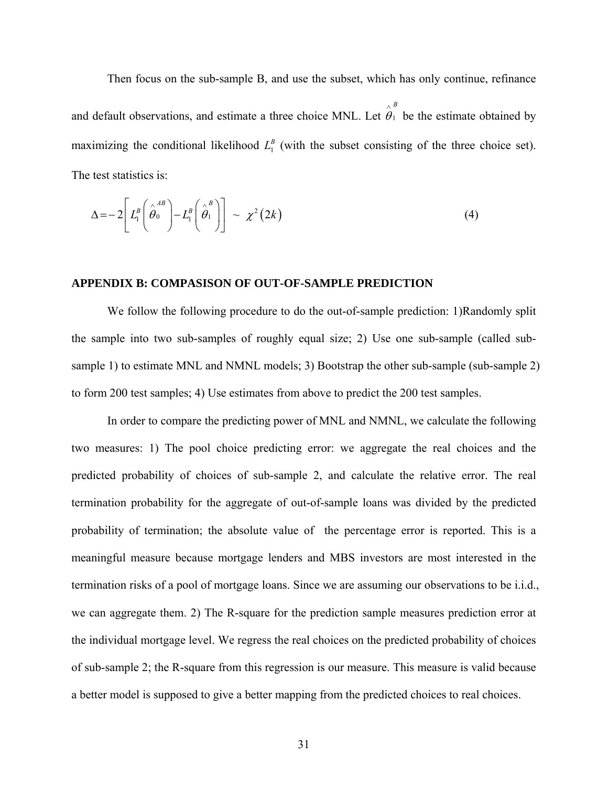Then focus on the sub-sample B, and use the subset, which has only continue, refinance and default observations, and estimate a three choice MNL. Let *B* 1  $\hat{\theta}_1^B$  be the estimate obtained by maximizing the conditional likelihood  $L_1^B$  (with the subset consisting of the three choice set). The test statistics is:

$$
\Delta = -2 \left[ L_1^B \left( \stackrel{\wedge}{\theta_0}^{AB} \right) - L_1^B \left( \stackrel{\wedge}{\theta_1}^{B} \right) \right] \sim \chi^2 (2k) \tag{4}
$$

#### **APPENDIX B: COMPASISON OF OUT-OF-SAMPLE PREDICTION**

We follow the following procedure to do the out-of-sample prediction: 1)Randomly split the sample into two sub-samples of roughly equal size; 2) Use one sub-sample (called subsample 1) to estimate MNL and NMNL models; 3) Bootstrap the other sub-sample (sub-sample 2) to form 200 test samples; 4) Use estimates from above to predict the 200 test samples.

In order to compare the predicting power of MNL and NMNL, we calculate the following two measures: 1) The pool choice predicting error: we aggregate the real choices and the predicted probability of choices of sub-sample 2, and calculate the relative error. The real termination probability for the aggregate of out-of-sample loans was divided by the predicted probability of termination; the absolute value of the percentage error is reported. This is a meaningful measure because mortgage lenders and MBS investors are most interested in the termination risks of a pool of mortgage loans. Since we are assuming our observations to be i.i.d., we can aggregate them. 2) The R-square for the prediction sample measures prediction error at the individual mortgage level. We regress the real choices on the predicted probability of choices of sub-sample 2; the R-square from this regression is our measure. This measure is valid because a better model is supposed to give a better mapping from the predicted choices to real choices.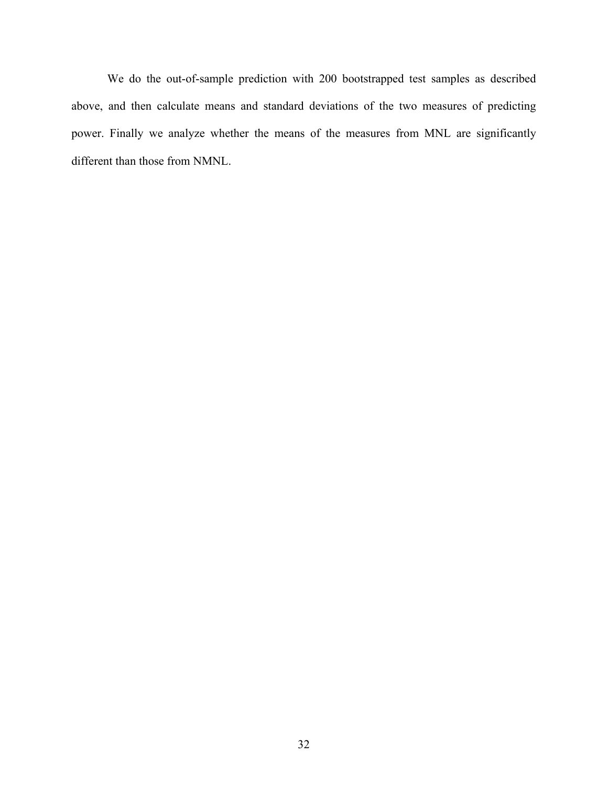We do the out-of-sample prediction with 200 bootstrapped test samples as described above, and then calculate means and standard deviations of the two measures of predicting power. Finally we analyze whether the means of the measures from MNL are significantly different than those from NMNL.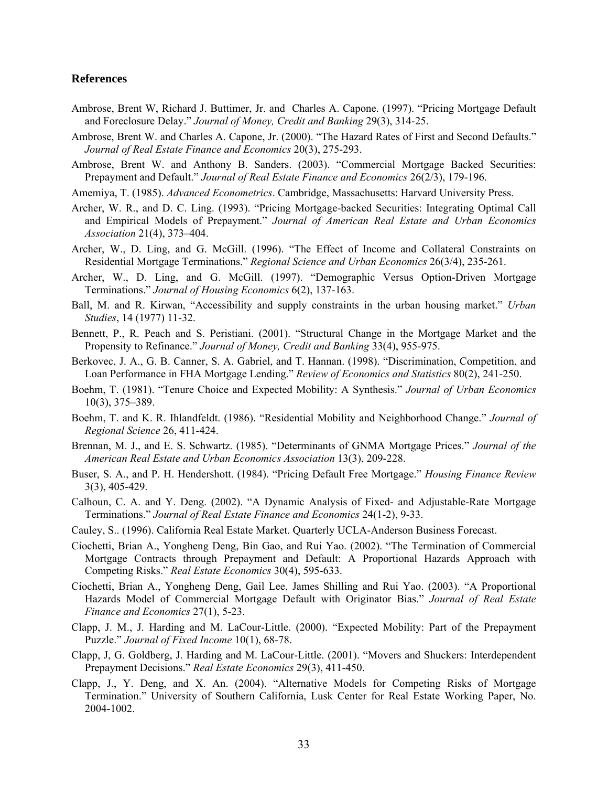#### **References**

- Ambrose, Brent W, Richard J. Buttimer, Jr. and Charles A. Capone. (1997). "Pricing Mortgage Default and Foreclosure Delay." *Journal of Money, Credit and Banking* 29(3), 314-25.
- Ambrose, Brent W. and Charles A. Capone, Jr. (2000). "The Hazard Rates of First and Second Defaults." *Journal of Real Estate Finance and Economics* 20(3), 275-293.
- Ambrose, Brent W. and Anthony B. Sanders. (2003). "Commercial Mortgage Backed Securities: Prepayment and Default." *Journal of Real Estate Finance and Economics* 26(2/3), 179-196.
- Amemiya, T. (1985). *Advanced Econometrics*. Cambridge, Massachusetts: Harvard University Press.
- Archer, W. R., and D. C. Ling. (1993). "Pricing Mortgage-backed Securities: Integrating Optimal Call and Empirical Models of Prepayment." *Journal of American Real Estate and Urban Economics Association* 21(4), 373–404.
- Archer, W., D. Ling, and G. McGill. (1996). "The Effect of Income and Collateral Constraints on Residential Mortgage Terminations." *Regional Science and Urban Economics* 26(3/4), 235-261.
- Archer, W., D. Ling, and G. McGill. (1997). "Demographic Versus Option-Driven Mortgage Terminations." *Journal of Housing Economics* 6(2), 137-163.
- Ball, M. and R. Kirwan, "Accessibility and supply constraints in the urban housing market." *Urban Studies*, 14 (1977) 11-32.
- Bennett, P., R. Peach and S. Peristiani. (2001). "Structural Change in the Mortgage Market and the Propensity to Refinance." *Journal of Money, Credit and Banking* 33(4), 955-975.
- Berkovec, J. A., G. B. Canner, S. A. Gabriel, and T. Hannan. (1998). "Discrimination, Competition, and Loan Performance in FHA Mortgage Lending." *Review of Economics and Statistics* 80(2), 241-250.
- Boehm, T. (1981). "Tenure Choice and Expected Mobility: A Synthesis." *Journal of Urban Economics* 10(3), 375–389.
- Boehm, T. and K. R. Ihlandfeldt. (1986). "Residential Mobility and Neighborhood Change." *Journal of Regional Science* 26, 411-424.
- Brennan, M. J., and E. S. Schwartz. (1985). "Determinants of GNMA Mortgage Prices." *Journal of the American Real Estate and Urban Economics Association* 13(3), 209-228.
- Buser, S. A., and P. H. Hendershott. (1984). "Pricing Default Free Mortgage." *Housing Finance Review* 3(3), 405-429.
- Calhoun, C. A. and Y. Deng. (2002). "A Dynamic Analysis of Fixed- and Adjustable-Rate Mortgage Terminations." *Journal of Real Estate Finance and Economics* 24(1-2), 9-33.
- Cauley, S.. (1996). California Real Estate Market. Quarterly UCLA-Anderson Business Forecast.
- Ciochetti, Brian A., Yongheng Deng, Bin Gao, and Rui Yao. (2002). "The Termination of Commercial Mortgage Contracts through Prepayment and Default: A Proportional Hazards Approach with Competing Risks." *Real Estate Economics* 30(4), 595-633.
- Ciochetti, Brian A., Yongheng Deng, Gail Lee, James Shilling and Rui Yao. (2003). "A Proportional Hazards Model of Commercial Mortgage Default with Originator Bias." *Journal of Real Estate Finance and Economics* 27(1), 5-23.
- Clapp, J. M., J. Harding and M. LaCour-Little. (2000). "Expected Mobility: Part of the Prepayment Puzzle." *Journal of Fixed Income* 10(1), 68-78.
- Clapp, J, G. Goldberg, J. Harding and M. LaCour-Little. (2001). "Movers and Shuckers: Interdependent Prepayment Decisions." *Real Estate Economics* 29(3), 411-450.
- Clapp, J., Y. Deng, and X. An. (2004). "Alternative Models for Competing Risks of Mortgage Termination." University of Southern California, Lusk Center for Real Estate Working Paper, No. 2004-1002.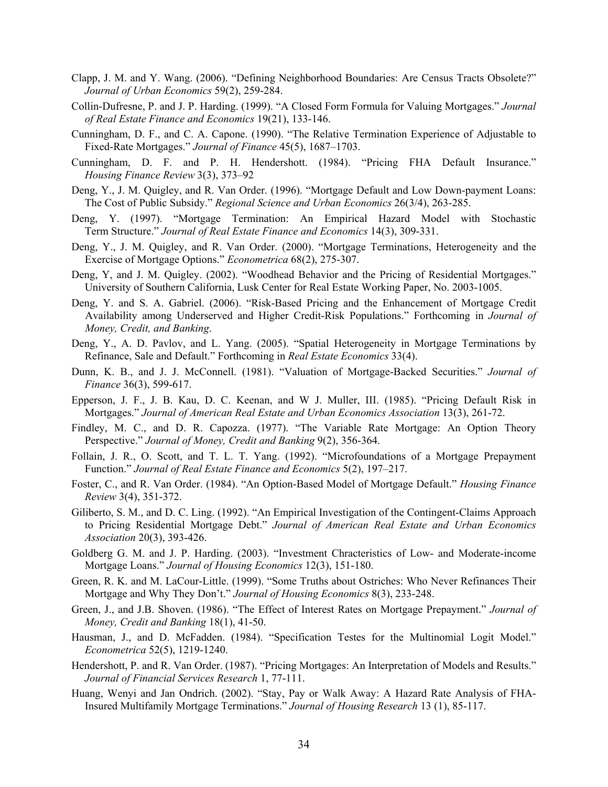- Clapp, J. M. and Y. Wang. (2006). "Defining Neighborhood Boundaries: Are Census Tracts Obsolete?" *Journal of Urban Economics* 59(2), 259-284.
- Collin-Dufresne, P. and J. P. Harding. (1999). "A Closed Form Formula for Valuing Mortgages." *Journal of Real Estate Finance and Economics* 19(21), 133-146.
- Cunningham, D. F., and C. A. Capone. (1990). "The Relative Termination Experience of Adjustable to Fixed-Rate Mortgages." *Journal of Finance* 45(5), 1687–1703.
- Cunningham, D. F. and P. H. Hendershott. (1984). "Pricing FHA Default Insurance." *Housing Finance Review* 3(3), 373–92
- Deng, Y., J. M. Quigley, and R. Van Order. (1996). "Mortgage Default and Low Down-payment Loans: The Cost of Public Subsidy." *Regional Science and Urban Economics* 26(3/4), 263-285.
- Deng, Y. (1997). "Mortgage Termination: An Empirical Hazard Model with Stochastic Term Structure." *Journal of Real Estate Finance and Economics* 14(3), 309-331.
- Deng, Y., J. M. Quigley, and R. Van Order. (2000). "Mortgage Terminations, Heterogeneity and the Exercise of Mortgage Options." *Econometrica* 68(2), 275-307.
- Deng, Y, and J. M. Quigley. (2002). "Woodhead Behavior and the Pricing of Residential Mortgages." University of Southern California, Lusk Center for Real Estate Working Paper, No. 2003-1005.
- Deng, Y. and S. A. Gabriel. (2006). "Risk-Based Pricing and the Enhancement of Mortgage Credit Availability among Underserved and Higher Credit-Risk Populations." Forthcoming in *Journal of Money, Credit, and Banking*.
- Deng, Y., A. D. Pavlov, and L. Yang. (2005). "Spatial Heterogeneity in Mortgage Terminations by Refinance, Sale and Default." Forthcoming in *Real Estate Economics* 33(4).
- Dunn, K. B., and J. J. McConnell. (1981). "Valuation of Mortgage-Backed Securities." *Journal of Finance* 36(3), 599-617.
- Epperson, J. F., J. B. Kau, D. C. Keenan, and W J. Muller, III. (1985). "Pricing Default Risk in Mortgages." *Journal of American Real Estate and Urban Economics Association* 13(3), 261-72.
- Findley, M. C., and D. R. Capozza. (1977). "The Variable Rate Mortgage: An Option Theory Perspective." *Journal of Money, Credit and Banking* 9(2), 356-364.
- Follain, J. R., O. Scott, and T. L. T. Yang. (1992). "Microfoundations of a Mortgage Prepayment Function." *Journal of Real Estate Finance and Economics* 5(2), 197–217.
- Foster, C., and R. Van Order. (1984). "An Option-Based Model of Mortgage Default." *Housing Finance Review* 3(4), 351-372.
- Giliberto, S. M., and D. C. Ling. (1992). "An Empirical Investigation of the Contingent-Claims Approach to Pricing Residential Mortgage Debt." *Journal of American Real Estate and Urban Economics Association* 20(3), 393-426.
- Goldberg G. M. and J. P. Harding. (2003). "Investment Chracteristics of Low- and Moderate-income Mortgage Loans." *Journal of Housing Economics* 12(3), 151-180.
- Green, R. K. and M. LaCour-Little. (1999). "Some Truths about Ostriches: Who Never Refinances Their Mortgage and Why They Don't." *Journal of Housing Economics* 8(3), 233-248.
- Green, J., and J.B. Shoven. (1986). "The Effect of Interest Rates on Mortgage Prepayment." *Journal of Money, Credit and Banking* 18(1), 41-50.
- Hausman, J., and D. McFadden. (1984). "Specification Testes for the Multinomial Logit Model." *Econometrica* 52(5), 1219-1240.
- Hendershott, P. and R. Van Order. (1987). "Pricing Mortgages: An Interpretation of Models and Results." *Journal of Financial Services Research* 1, 77-111.
- Huang, Wenyi and Jan Ondrich. (2002). "Stay, Pay or Walk Away: A Hazard Rate Analysis of FHA-Insured Multifamily Mortgage Terminations." *Journal of Housing Research* 13 (1), 85-117.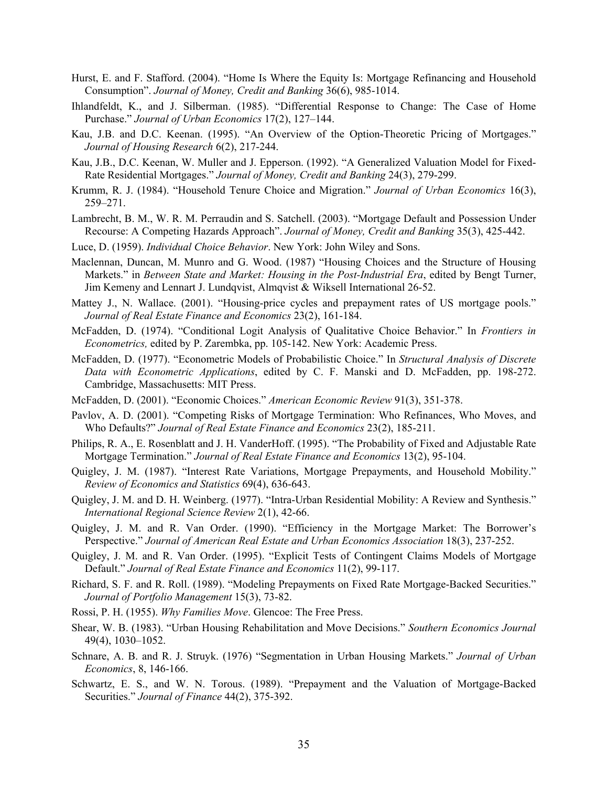- Hurst, E. and F. Stafford. (2004). "Home Is Where the Equity Is: Mortgage Refinancing and Household Consumption". *Journal of Money, Credit and Banking* 36(6), 985-1014.
- Ihlandfeldt, K., and J. Silberman. (1985). "Differential Response to Change: The Case of Home Purchase." *Journal of Urban Economics* 17(2), 127–144.
- Kau, J.B. and D.C. Keenan. (1995). "An Overview of the Option-Theoretic Pricing of Mortgages." *Journal of Housing Research* 6(2), 217-244.
- Kau, J.B., D.C. Keenan, W. Muller and J. Epperson. (1992). "A Generalized Valuation Model for Fixed-Rate Residential Mortgages." *Journal of Money, Credit and Banking* 24(3), 279-299.
- Krumm, R. J. (1984). "Household Tenure Choice and Migration." *Journal of Urban Economics* 16(3), 259–271.
- Lambrecht, B. M., W. R. M. Perraudin and S. Satchell. (2003). "Mortgage Default and Possession Under Recourse: A Competing Hazards Approach". *Journal of Money, Credit and Banking* 35(3), 425-442.
- Luce, D. (1959). *Individual Choice Behavior*. New York: John Wiley and Sons.
- Maclennan, Duncan, M. Munro and G. Wood. (1987) "Housing Choices and the Structure of Housing Markets." in *Between State and Market: Housing in the Post-Industrial Era*, edited by Bengt Turner, Jim Kemeny and Lennart J. Lundqvist, Almqvist & Wiksell International 26-52.
- Mattey J., N. Wallace. (2001). "Housing-price cycles and prepayment rates of US mortgage pools." *Journal of Real Estate Finance and Economics* 23(2), 161-184.
- McFadden, D. (1974). "Conditional Logit Analysis of Qualitative Choice Behavior." In *Frontiers in Econometrics,* edited by P. Zarembka, pp. 105-142. New York: Academic Press.
- McFadden, D. (1977). "Econometric Models of Probabilistic Choice." In *Structural Analysis of Discrete Data with Econometric Applications*, edited by C. F. Manski and D. McFadden, pp. 198-272. Cambridge, Massachusetts: MIT Press.
- McFadden, D. (2001). "Economic Choices." *American Economic Review* 91(3), 351-378.
- Pavlov, A. D. (2001). "Competing Risks of Mortgage Termination: Who Refinances, Who Moves, and Who Defaults?" *Journal of Real Estate Finance and Economics* 23(2), 185-211.
- Philips, R. A., E. Rosenblatt and J. H. VanderHoff. (1995). "The Probability of Fixed and Adjustable Rate Mortgage Termination." *Journal of Real Estate Finance and Economics* 13(2), 95-104.
- Quigley, J. M. (1987). "Interest Rate Variations, Mortgage Prepayments, and Household Mobility." *Review of Economics and Statistics* 69(4), 636-643.
- Quigley, J. M. and D. H. Weinberg. (1977). "Intra-Urban Residential Mobility: A Review and Synthesis." *International Regional Science Review* 2(1), 42-66.
- Quigley, J. M. and R. Van Order. (1990). "Efficiency in the Mortgage Market: The Borrower's Perspective." *Journal of American Real Estate and Urban Economics Association* 18(3), 237-252.
- Quigley, J. M. and R. Van Order. (1995). "Explicit Tests of Contingent Claims Models of Mortgage Default." *Journal of Real Estate Finance and Economics* 11(2), 99-117.
- Richard, S. F. and R. Roll. (1989). "Modeling Prepayments on Fixed Rate Mortgage-Backed Securities." *Journal of Portfolio Management* 15(3), 73-82.
- Rossi, P. H. (1955). *Why Families Move*. Glencoe: The Free Press.
- Shear, W. B. (1983). "Urban Housing Rehabilitation and Move Decisions." *Southern Economics Journal* 49(4), 1030–1052.
- Schnare, A. B. and R. J. Struyk. (1976) "Segmentation in Urban Housing Markets." *Journal of Urban Economics*, 8, 146-166.
- Schwartz, E. S., and W. N. Torous. (1989). "Prepayment and the Valuation of Mortgage-Backed Securities." *Journal of Finance* 44(2), 375-392.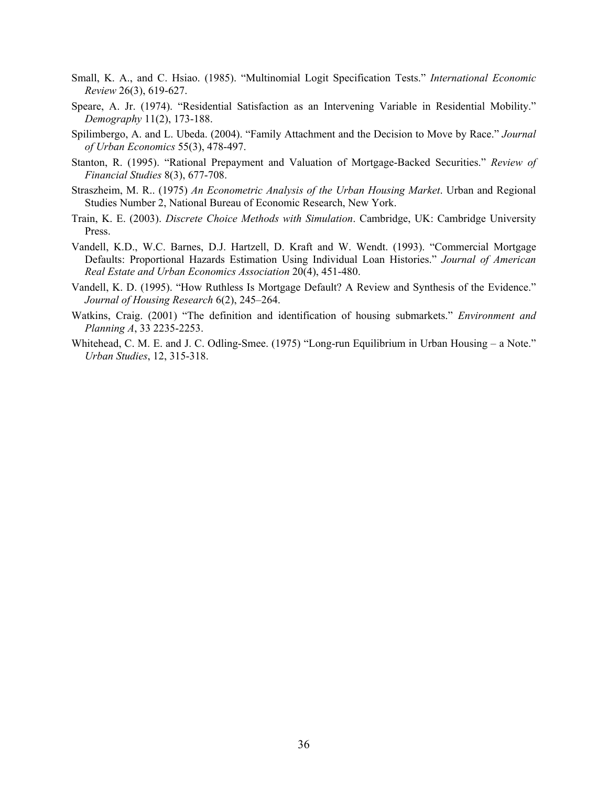- Small, K. A., and C. Hsiao. (1985). "Multinomial Logit Specification Tests." *International Economic Review* 26(3), 619-627.
- Speare, A. Jr. (1974). "Residential Satisfaction as an Intervening Variable in Residential Mobility." *Demography* 11(2), 173-188.
- Spilimbergo, A. and L. Ubeda. (2004). "Family Attachment and the Decision to Move by Race." *Journal of Urban Economics* 55(3), 478-497.
- Stanton, R. (1995). "Rational Prepayment and Valuation of Mortgage-Backed Securities." *Review of Financial Studies* 8(3), 677-708.
- Straszheim, M. R.. (1975) *An Econometric Analysis of the Urban Housing Market*. Urban and Regional Studies Number 2, National Bureau of Economic Research, New York.
- Train, K. E. (2003). *Discrete Choice Methods with Simulation*. Cambridge, UK: Cambridge University Press.
- Vandell, K.D., W.C. Barnes, D.J. Hartzell, D. Kraft and W. Wendt. (1993). "Commercial Mortgage Defaults: Proportional Hazards Estimation Using Individual Loan Histories." *Journal of American Real Estate and Urban Economics Association* 20(4), 451-480.
- Vandell, K. D. (1995). "How Ruthless Is Mortgage Default? A Review and Synthesis of the Evidence." *Journal of Housing Research* 6(2), 245–264.
- Watkins, Craig. (2001) "The definition and identification of housing submarkets." *Environment and Planning A*, 33 2235-2253.
- Whitehead, C. M. E. and J. C. Odling-Smee. (1975) "Long-run Equilibrium in Urban Housing a Note." *Urban Studies*, 12, 315-318.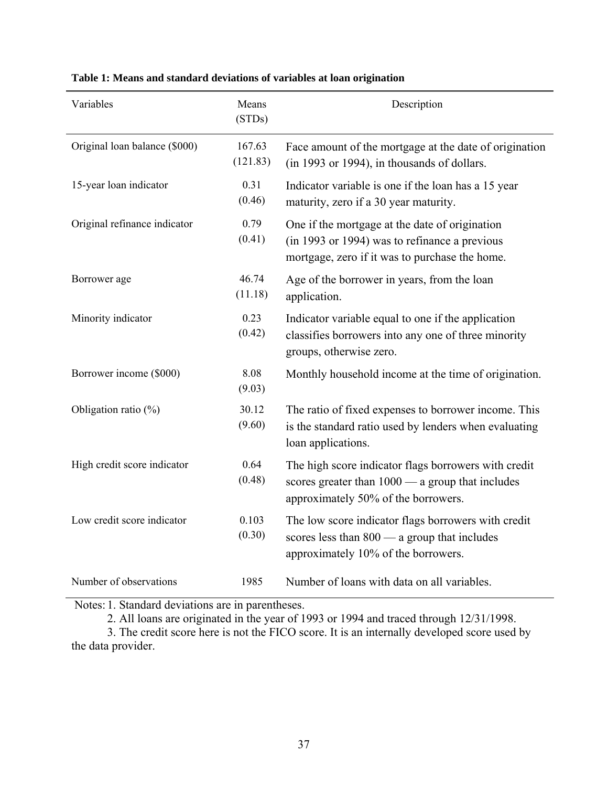| Variables                     | Means<br>(STDs)    | Description                                                                                                                                       |
|-------------------------------|--------------------|---------------------------------------------------------------------------------------------------------------------------------------------------|
| Original loan balance (\$000) | 167.63<br>(121.83) | Face amount of the mortgage at the date of origination<br>(in 1993 or 1994), in thousands of dollars.                                             |
| 15-year loan indicator        | 0.31<br>(0.46)     | Indicator variable is one if the loan has a 15 year<br>maturity, zero if a 30 year maturity.                                                      |
| Original refinance indicator  | 0.79<br>(0.41)     | One if the mortgage at the date of origination<br>(in 1993 or 1994) was to refinance a previous<br>mortgage, zero if it was to purchase the home. |
| Borrower age                  | 46.74<br>(11.18)   | Age of the borrower in years, from the loan<br>application.                                                                                       |
| Minority indicator            | 0.23<br>(0.42)     | Indicator variable equal to one if the application<br>classifies borrowers into any one of three minority<br>groups, otherwise zero.              |
| Borrower income (\$000)       | 8.08<br>(9.03)     | Monthly household income at the time of origination.                                                                                              |
| Obligation ratio $(\%)$       | 30.12<br>(9.60)    | The ratio of fixed expenses to borrower income. This<br>is the standard ratio used by lenders when evaluating<br>loan applications.               |
| High credit score indicator   | 0.64<br>(0.48)     | The high score indicator flags borrowers with credit<br>scores greater than $1000 - a$ group that includes<br>approximately 50% of the borrowers. |
| Low credit score indicator    | 0.103<br>(0.30)    | The low score indicator flags borrowers with credit<br>scores less than $800 - a$ group that includes<br>approximately 10% of the borrowers.      |
| Number of observations        | 1985               | Number of loans with data on all variables.                                                                                                       |

**Table 1: Means and standard deviations of variables at loan origination** 

Notes: 1. Standard deviations are in parentheses.

2. All loans are originated in the year of 1993 or 1994 and traced through 12/31/1998.

 3. The credit score here is not the FICO score. It is an internally developed score used by the data provider.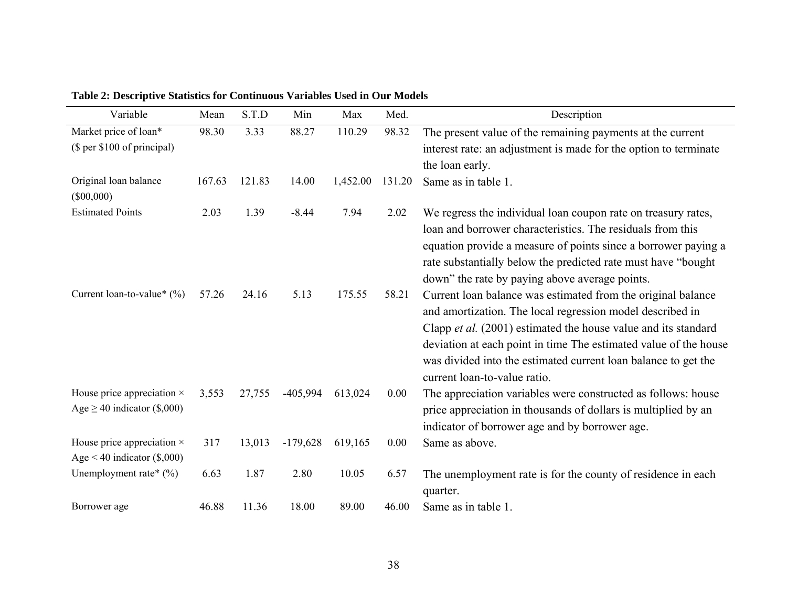| Variable                                                              | Mean   | S.T.D  | Min        | Max      | Med.   | Description                                                                                                                                                                                                                                                                                                                                                       |
|-----------------------------------------------------------------------|--------|--------|------------|----------|--------|-------------------------------------------------------------------------------------------------------------------------------------------------------------------------------------------------------------------------------------------------------------------------------------------------------------------------------------------------------------------|
| Market price of loan*                                                 | 98.30  | 3.33   | 88.27      | 110.29   | 98.32  | The present value of the remaining payments at the current                                                                                                                                                                                                                                                                                                        |
| (\$ per \$100 of principal)                                           |        |        |            |          |        | interest rate: an adjustment is made for the option to terminate                                                                                                                                                                                                                                                                                                  |
|                                                                       |        |        |            |          |        | the loan early.                                                                                                                                                                                                                                                                                                                                                   |
| Original loan balance<br>$(\$00,000)$                                 | 167.63 | 121.83 | 14.00      | 1,452.00 | 131.20 | Same as in table 1.                                                                                                                                                                                                                                                                                                                                               |
| <b>Estimated Points</b>                                               | 2.03   | 1.39   | $-8.44$    | 7.94     | 2.02   | We regress the individual loan coupon rate on treasury rates,<br>loan and borrower characteristics. The residuals from this<br>equation provide a measure of points since a borrower paying a<br>rate substantially below the predicted rate must have "bought"<br>down" the rate by paying above average points.                                                 |
| Current loan-to-value* $(\%)$                                         | 57.26  | 24.16  | 5.13       | 175.55   | 58.21  | Current loan balance was estimated from the original balance<br>and amortization. The local regression model described in<br>Clapp et al. (2001) estimated the house value and its standard<br>deviation at each point in time The estimated value of the house<br>was divided into the estimated current loan balance to get the<br>current loan-to-value ratio. |
| House price appreciation $\times$<br>Age $\geq$ 40 indicator (\$,000) | 3,553  | 27,755 | $-405,994$ | 613,024  | 0.00   | The appreciation variables were constructed as follows: house<br>price appreciation in thousands of dollars is multiplied by an<br>indicator of borrower age and by borrower age.                                                                                                                                                                                 |
| House price appreciation $\times$<br>Age < 40 indicator $(\$$ ,000)   | 317    | 13,013 | $-179,628$ | 619,165  | 0.00   | Same as above.                                                                                                                                                                                                                                                                                                                                                    |
| Unemployment rate* $(\%)$                                             | 6.63   | 1.87   | 2.80       | 10.05    | 6.57   | The unemployment rate is for the county of residence in each<br>quarter.                                                                                                                                                                                                                                                                                          |
| Borrower age                                                          | 46.88  | 11.36  | 18.00      | 89.00    | 46.00  | Same as in table 1.                                                                                                                                                                                                                                                                                                                                               |

**Table 2: Descriptive Statistics for Continuous Variables Used in Our Models**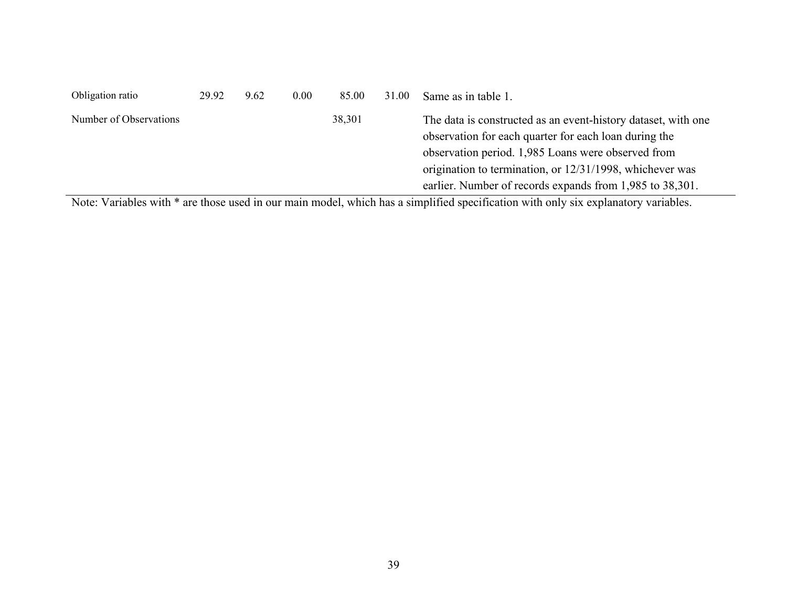| Obligation ratio                                                                                                                                                                                                                               | 29.92     | 9.62 | 0.00 | 85.00  | 31.00 | Same as in table 1.                                                                                                                                                                                                                                                                                  |
|------------------------------------------------------------------------------------------------------------------------------------------------------------------------------------------------------------------------------------------------|-----------|------|------|--------|-------|------------------------------------------------------------------------------------------------------------------------------------------------------------------------------------------------------------------------------------------------------------------------------------------------------|
| Number of Observations                                                                                                                                                                                                                         |           |      |      | 38,301 |       | The data is constructed as an event-history dataset, with one<br>observation for each quarter for each loan during the<br>observation period. 1,985 Loans were observed from<br>origination to termination, or 12/31/1998, whichever was<br>earlier. Number of records expands from 1,985 to 38,301. |
| the state of the state of the state of the state of the state of the state of the state of the state of the state of the state of the state of the state of the state of the state of the state of the state of the state of t<br>$\mathbf{v}$ | $\cdot$ 1 |      |      |        |       | $\cdots$ $\sim$ $\cdots$                                                                                                                                                                                                                                                                             |

Note: Variables with \* are those used in our main model, which has a simplified specification with only six explanatory variables.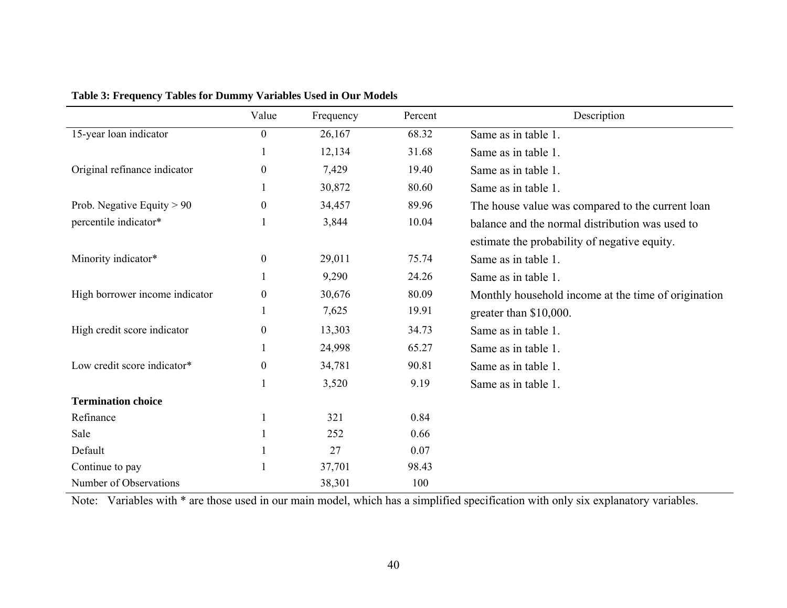|                                | Value            | Frequency | Percent | Description                                         |
|--------------------------------|------------------|-----------|---------|-----------------------------------------------------|
| 15-year loan indicator         | $\overline{0}$   | 26,167    | 68.32   | Same as in table 1.                                 |
|                                |                  | 12,134    | 31.68   | Same as in table 1.                                 |
| Original refinance indicator   | $\theta$         | 7,429     | 19.40   | Same as in table 1.                                 |
|                                |                  | 30,872    | 80.60   | Same as in table 1.                                 |
| Prob. Negative Equity $> 90$   | $\boldsymbol{0}$ | 34,457    | 89.96   | The house value was compared to the current loan    |
| percentile indicator*          |                  | 3,844     | 10.04   | balance and the normal distribution was used to     |
|                                |                  |           |         | estimate the probability of negative equity.        |
| Minority indicator*            | $\boldsymbol{0}$ | 29,011    | 75.74   | Same as in table 1.                                 |
|                                |                  | 9,290     | 24.26   | Same as in table 1.                                 |
| High borrower income indicator | $\boldsymbol{0}$ | 30,676    | 80.09   | Monthly household income at the time of origination |
|                                |                  | 7,625     | 19.91   | greater than \$10,000.                              |
| High credit score indicator    | $\boldsymbol{0}$ | 13,303    | 34.73   | Same as in table 1.                                 |
|                                |                  | 24,998    | 65.27   | Same as in table 1.                                 |
| Low credit score indicator*    | $\theta$         | 34,781    | 90.81   | Same as in table 1.                                 |
|                                |                  | 3,520     | 9.19    | Same as in table 1.                                 |
| <b>Termination choice</b>      |                  |           |         |                                                     |
| Refinance                      |                  | 321       | 0.84    |                                                     |
| Sale                           |                  | 252       | 0.66    |                                                     |
| Default                        |                  | 27        | 0.07    |                                                     |
| Continue to pay                |                  | 37,701    | 98.43   |                                                     |
| Number of Observations         |                  | 38,301    | 100     |                                                     |

**Table 3: Frequency Tables for Dummy Variables Used in Our Models** 

Note: Variables with \* are those used in our main model, which has a simplified specification with only six explanatory variables.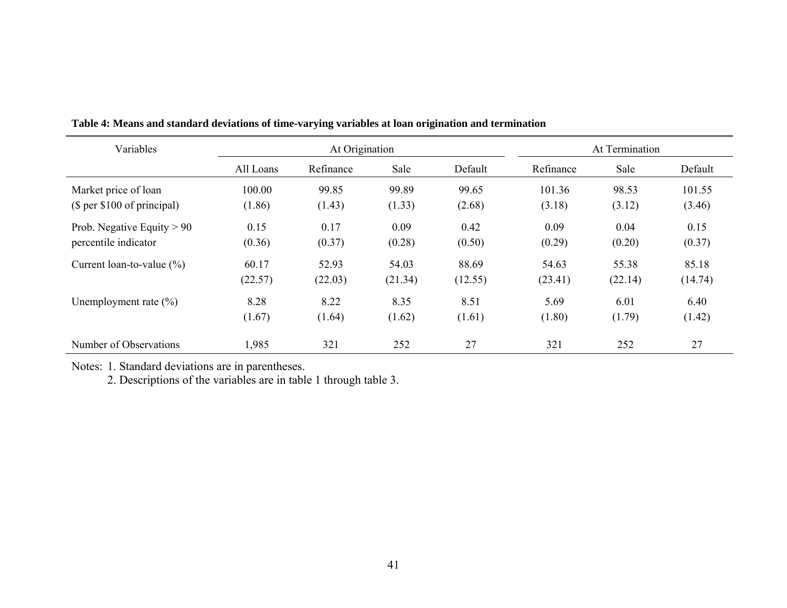| Variables                    |           | At Origination |         |         |           | At Termination |         |
|------------------------------|-----------|----------------|---------|---------|-----------|----------------|---------|
|                              | All Loans | Refinance      | Sale    | Default | Refinance | Sale           | Default |
| Market price of loan         | 100.00    | 99.85          | 99.89   | 99.65   | 101.36    | 98.53          | 101.55  |
| (\$ per \$100 of principal)  | (1.86)    | (1.43)         | (1.33)  | (2.68)  | (3.18)    | (3.12)         | (3.46)  |
| Prob. Negative Equity $> 90$ | 0.15      | 0.17           | 0.09    | 0.42    | 0.09      | 0.04           | 0.15    |
| percentile indicator         | (0.36)    | (0.37)         | (0.28)  | (0.50)  | (0.29)    | (0.20)         | (0.37)  |
| Current loan-to-value $(\%)$ | 60.17     | 52.93          | 54.03   | 88.69   | 54.63     | 55.38          | 85.18   |
|                              | (22.57)   | (22.03)        | (21.34) | (12.55) | (23.41)   | (22.14)        | (14.74) |
| Unemployment rate $(\%)$     | 8.28      | 8.22           | 8.35    | 8.51    | 5.69      | 6.01           | 6.40    |
|                              | (1.67)    | (1.64)         | (1.62)  | (1.61)  | (1.80)    | (1.79)         | (1.42)  |
| Number of Observations       | 1,985     | 321            | 252     | 27      | 321       | 252            | 27      |

**Table 4: Means and standard deviations of time-varying variables at loan origination and termination** 

Notes: 1. Standard deviations are in parentheses.

2. Descriptions of the variables are in table 1 through table 3.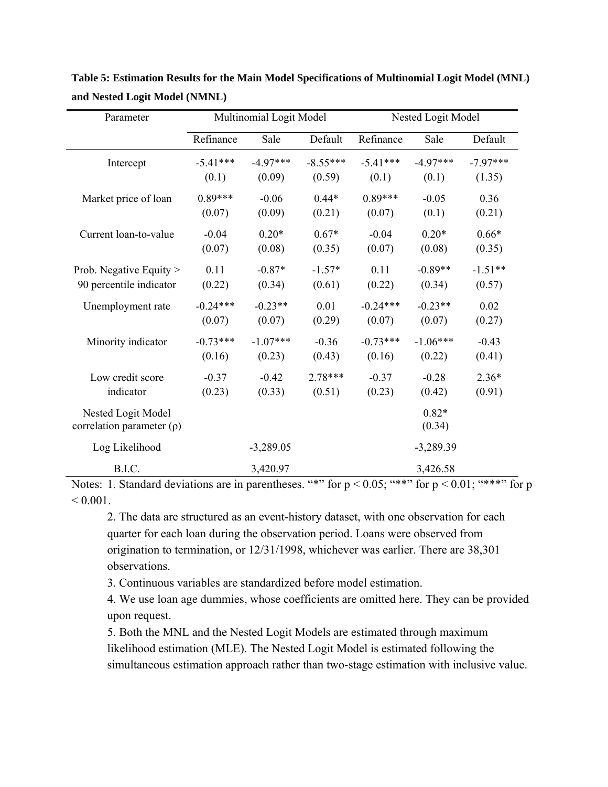| Parameter                      |            | Multinomial Logit Model |            | Nested Logit Model |             |            |  |
|--------------------------------|------------|-------------------------|------------|--------------------|-------------|------------|--|
|                                | Refinance  | Sale                    | Default    | Refinance          | Sale        | Default    |  |
| Intercept                      | $-5.41***$ | $-4.97***$              | $-8.55***$ | $-5.41***$         | $-4.97***$  | $-7.97***$ |  |
|                                | (0.1)      | (0.09)                  | (0.59)     | (0.1)              | (0.1)       | (1.35)     |  |
| Market price of loan           | $0.89***$  | $-0.06$                 | $0.44*$    | $0.89***$          | $-0.05$     | 0.36       |  |
|                                | (0.07)     | (0.09)                  | (0.21)     | (0.07)             | (0.1)       | (0.21)     |  |
| Current loan-to-value          | $-0.04$    | $0.20*$                 | $0.67*$    | $-0.04$            | $0.20*$     | $0.66*$    |  |
|                                | (0.07)     | (0.08)                  | (0.35)     | (0.07)             | (0.08)      | (0.35)     |  |
| Prob. Negative Equity >        | 0.11       | $-0.87*$                | $-1.57*$   | 0.11               | $-0.89**$   | $-1.51**$  |  |
| 90 percentile indicator        | (0.22)     | (0.34)                  | (0.61)     | (0.22)             | (0.34)      | (0.57)     |  |
| Unemployment rate              | $-0.24***$ | $-0.23**$               | 0.01       | $-0.24***$         | $-0.23**$   | 0.02       |  |
|                                | (0.07)     | (0.07)                  | (0.29)     | (0.07)             | (0.07)      | (0.27)     |  |
| Minority indicator             | $-0.73***$ | $-1.07***$              | $-0.36$    | $-0.73***$         | $-1.06***$  | $-0.43$    |  |
|                                | (0.16)     | (0.23)                  | (0.43)     | (0.16)             | (0.22)      | (0.41)     |  |
| Low credit score               | $-0.37$    | $-0.42$                 | $2.78***$  | $-0.37$            | $-0.28$     | $2.36*$    |  |
| indicator                      | (0.23)     | (0.33)                  | (0.51)     | (0.23)             | (0.42)      | (0.91)     |  |
| Nested Logit Model             |            |                         |            |                    | $0.82*$     |            |  |
| correlation parameter $(\rho)$ |            |                         |            |                    | (0.34)      |            |  |
| Log Likelihood                 |            | $-3,289.05$             |            |                    | $-3,289.39$ |            |  |
| B.I.C.                         |            | 3,420.97                |            |                    | 3,426.58    |            |  |

**Table 5: Estimation Results for the Main Model Specifications of Multinomial Logit Model (MNL) and Nested Logit Model (NMNL)** 

Notes: 1. Standard deviations are in parentheses. "\*" for  $p < 0.05$ ; "\*\*" for  $p < 0.01$ ; "\*\*\*" for p  $< 0.001$ .

2. The data are structured as an event-history dataset, with one observation for each quarter for each loan during the observation period. Loans were observed from origination to termination, or 12/31/1998, whichever was earlier. There are 38,301 observations.

3. Continuous variables are standardized before model estimation.

4. We use loan age dummies, whose coefficients are omitted here. They can be provided upon request.

5. Both the MNL and the Nested Logit Models are estimated through maximum likelihood estimation (MLE). The Nested Logit Model is estimated following the simultaneous estimation approach rather than two-stage estimation with inclusive value.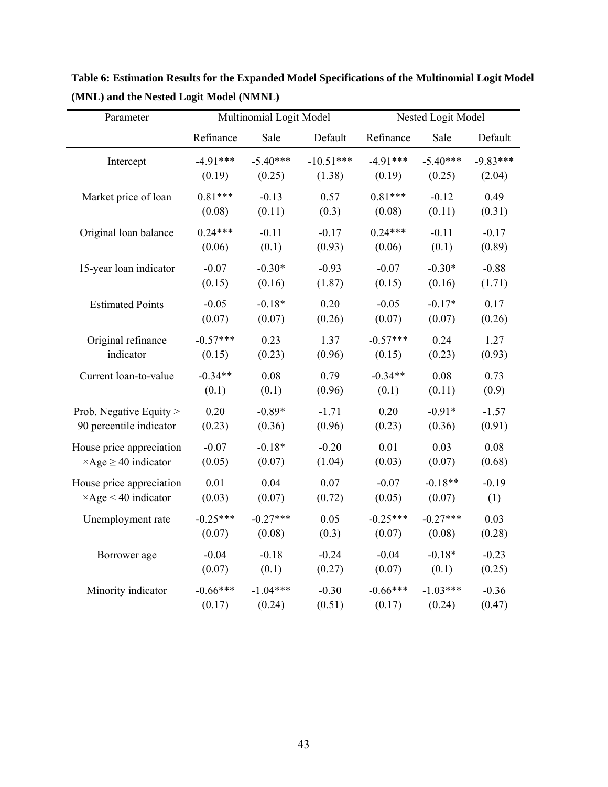| Parameter                        |            | Multinomial Logit Model |             |            | Nested Logit Model |            |  |  |
|----------------------------------|------------|-------------------------|-------------|------------|--------------------|------------|--|--|
|                                  | Refinance  | Sale                    | Default     | Refinance  | Sale               | Default    |  |  |
| Intercept                        | $-4.91***$ | $-5.40***$              | $-10.51***$ | $-4.91***$ | $-5.40***$         | $-9.83***$ |  |  |
|                                  | (0.19)     | (0.25)                  | (1.38)      | (0.19)     | (0.25)             | (2.04)     |  |  |
| Market price of loan             | $0.81***$  | $-0.13$                 | 0.57        | $0.81***$  | $-0.12$            | 0.49       |  |  |
|                                  | (0.08)     | (0.11)                  | (0.3)       | (0.08)     | (0.11)             | (0.31)     |  |  |
| Original loan balance            | $0.24***$  | $-0.11$                 | $-0.17$     | $0.24***$  | $-0.11$            | $-0.17$    |  |  |
|                                  | (0.06)     | (0.1)                   | (0.93)      | (0.06)     | (0.1)              | (0.89)     |  |  |
| 15-year loan indicator           | $-0.07$    | $-0.30*$                | $-0.93$     | $-0.07$    | $-0.30*$           | $-0.88$    |  |  |
|                                  | (0.15)     | (0.16)                  | (1.87)      | (0.15)     | (0.16)             | (1.71)     |  |  |
| <b>Estimated Points</b>          | $-0.05$    | $-0.18*$                | 0.20        | $-0.05$    | $-0.17*$           | 0.17       |  |  |
|                                  | (0.07)     | (0.07)                  | (0.26)      | (0.07)     | (0.07)             | (0.26)     |  |  |
| Original refinance               | $-0.57***$ | 0.23                    | 1.37        | $-0.57***$ | 0.24               | 1.27       |  |  |
| indicator                        | (0.15)     | (0.23)                  | (0.96)      | (0.15)     | (0.23)             | (0.93)     |  |  |
| Current loan-to-value            | $-0.34**$  | 0.08                    | 0.79        | $-0.34**$  | 0.08               | 0.73       |  |  |
|                                  | (0.1)      | (0.1)                   | (0.96)      | (0.1)      | (0.11)             | (0.9)      |  |  |
| Prob. Negative Equity >          | 0.20       | $-0.89*$                | $-1.71$     | 0.20       | $-0.91*$           | $-1.57$    |  |  |
| 90 percentile indicator          | (0.23)     | (0.36)                  | (0.96)      | (0.23)     | (0.36)             | (0.91)     |  |  |
| House price appreciation         | $-0.07$    | $-0.18*$                | $-0.20$     | 0.01       | 0.03               | 0.08       |  |  |
| $\times$ Age $\geq$ 40 indicator | (0.05)     | (0.07)                  | (1.04)      | (0.03)     | (0.07)             | (0.68)     |  |  |
| House price appreciation         | 0.01       | 0.04                    | 0.07        | $-0.07$    | $-0.18**$          | $-0.19$    |  |  |
| $\times$ Age < 40 indicator      | (0.03)     | (0.07)                  | (0.72)      | (0.05)     | (0.07)             | (1)        |  |  |
| Unemployment rate                | $-0.25***$ | $-0.27***$              | 0.05        | $-0.25***$ | $-0.27***$         | 0.03       |  |  |
|                                  | (0.07)     | (0.08)                  | (0.3)       | (0.07)     | (0.08)             | (0.28)     |  |  |
| Borrower age                     | $-0.04$    | $-0.18$                 | $-0.24$     | $-0.04$    | $-0.18*$           | $-0.23$    |  |  |
|                                  | (0.07)     | (0.1)                   | (0.27)      | (0.07)     | (0.1)              | (0.25)     |  |  |
| Minority indicator               | $-0.66***$ | $-1.04***$              | $-0.30$     | $-0.66***$ | $-1.03***$         | $-0.36$    |  |  |
|                                  | (0.17)     | (0.24)                  | (0.51)      | (0.17)     | (0.24)             | (0.47)     |  |  |

**Table 6: Estimation Results for the Expanded Model Specifications of the Multinomial Logit Model (MNL) and the Nested Logit Model (NMNL)**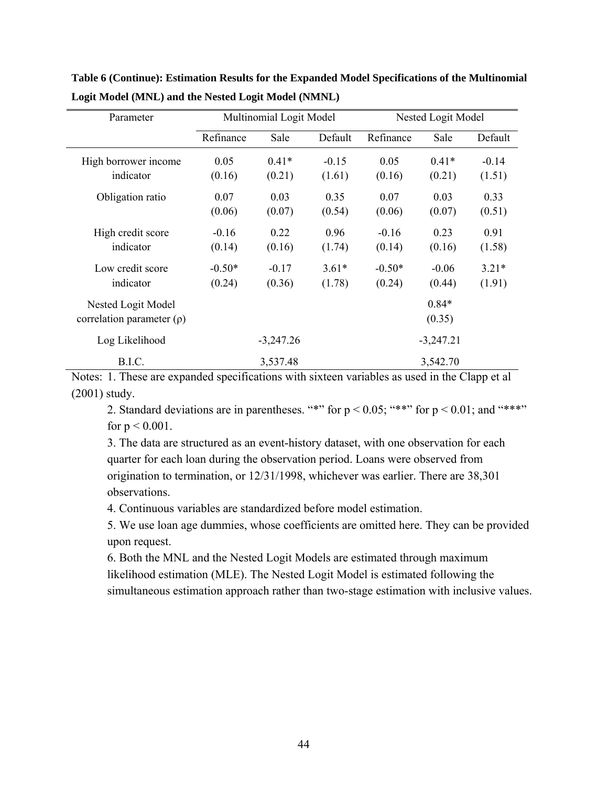| Parameter                      |           | Multinomial Logit Model |         | Nested Logit Model |             |         |
|--------------------------------|-----------|-------------------------|---------|--------------------|-------------|---------|
|                                | Refinance | Sale                    | Default | Refinance          | Sale        | Default |
| High borrower income           | 0.05      | $0.41*$                 | $-0.15$ | 0.05               | $0.41*$     | $-0.14$ |
| indicator                      | (0.16)    | (0.21)                  | (1.61)  | (0.16)             | (0.21)      | (1.51)  |
| Obligation ratio               | 0.07      | 0.03                    | 0.35    | 0.07               | 0.03        | 0.33    |
|                                | (0.06)    | (0.07)                  | (0.54)  | (0.06)             | (0.07)      | (0.51)  |
| High credit score              | $-0.16$   | 0.22                    | 0.96    | $-0.16$            | 0.23        | 0.91    |
| indicator                      | (0.14)    | (0.16)                  | (1.74)  | (0.14)             | (0.16)      | (1.58)  |
| Low credit score               | $-0.50*$  | $-0.17$                 | $3.61*$ | $-0.50*$           | $-0.06$     | $3.21*$ |
| indicator                      | (0.24)    | (0.36)                  | (1.78)  | (0.24)             | (0.44)      | (1.91)  |
| Nested Logit Model             |           |                         |         |                    | $0.84*$     |         |
| correlation parameter $(\rho)$ |           |                         |         |                    | (0.35)      |         |
| Log Likelihood                 |           | $-3,247.26$             |         |                    | $-3,247.21$ |         |
| B.I.C.                         |           | 3,537.48                |         |                    | 3,542.70    |         |

**Table 6 (Continue): Estimation Results for the Expanded Model Specifications of the Multinomial Logit Model (MNL) and the Nested Logit Model (NMNL)** 

Notes: 1. These are expanded specifications with sixteen variables as used in the Clapp et al (2001) study.

2. Standard deviations are in parentheses. "\*" for  $p < 0.05$ ; "\*\*" for  $p < 0.01$ ; and "\*\*\*" for  $p < 0.001$ .

3. The data are structured as an event-history dataset, with one observation for each quarter for each loan during the observation period. Loans were observed from origination to termination, or 12/31/1998, whichever was earlier. There are 38,301 observations.

4. Continuous variables are standardized before model estimation.

5. We use loan age dummies, whose coefficients are omitted here. They can be provided upon request.

6. Both the MNL and the Nested Logit Models are estimated through maximum likelihood estimation (MLE). The Nested Logit Model is estimated following the simultaneous estimation approach rather than two-stage estimation with inclusive values.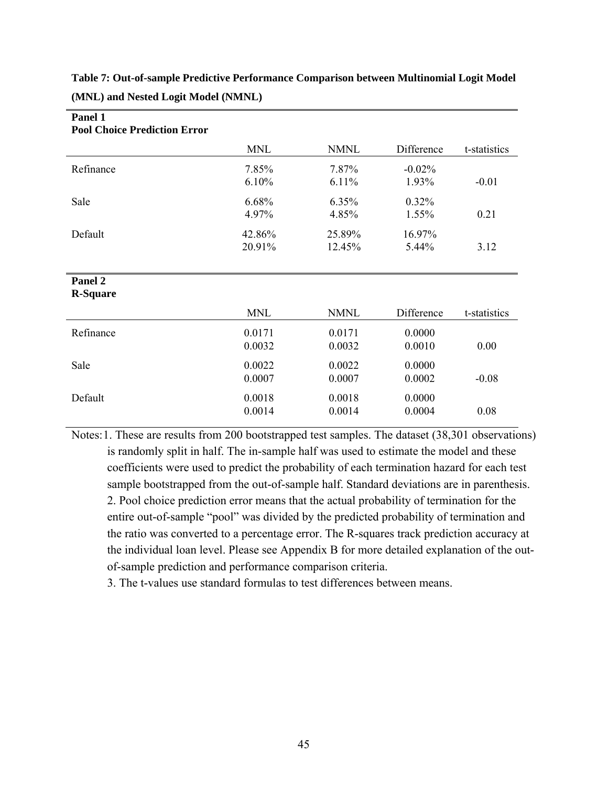**Table 7: Out-of-sample Predictive Performance Comparison between Multinomial Logit Model (MNL) and Nested Logit Model (NMNL)**

| <b>Pool Choice Prediction Error</b> |                  |                  |                   |              |
|-------------------------------------|------------------|------------------|-------------------|--------------|
|                                     | <b>MNL</b>       | <b>NMNL</b>      | Difference        | t-statistics |
| Refinance                           | 7.85%<br>6.10%   | 7.87%<br>6.11%   | $-0.02%$<br>1.93% | $-0.01$      |
| Sale                                | 6.68%<br>4.97%   | 6.35%<br>4.85%   | 0.32%<br>1.55%    | 0.21         |
| Default                             | 42.86%<br>20.91% | 25.89%<br>12.45% | 16.97%<br>5.44%   | 3.12         |
| Panel 2<br><b>R-Square</b>          |                  |                  |                   |              |
|                                     | <b>MNL</b>       | <b>NMNL</b>      | Difference        | t-statistics |
| Refinance                           | 0.0171<br>0.0032 | 0.0171<br>0.0032 | 0.0000<br>0.0010  | 0.00         |
| Sale                                | 0.0022<br>0.0007 | 0.0022<br>0.0007 | 0.0000<br>0.0002  | $-0.08$      |
| Default                             | 0.0018<br>0.0014 | 0.0018<br>0.0014 | 0.0000<br>0.0004  | 0.08         |

**Panel 1** 

Notes: 1. These are results from 200 bootstrapped test samples. The dataset (38,301 observations) is randomly split in half. The in-sample half was used to estimate the model and these coefficients were used to predict the probability of each termination hazard for each test sample bootstrapped from the out-of-sample half. Standard deviations are in parenthesis. 2. Pool choice prediction error means that the actual probability of termination for the entire out-of-sample "pool" was divided by the predicted probability of termination and the ratio was converted to a percentage error. The R-squares track prediction accuracy at the individual loan level. Please see Appendix B for more detailed explanation of the outof-sample prediction and performance comparison criteria.

3. The t-values use standard formulas to test differences between means.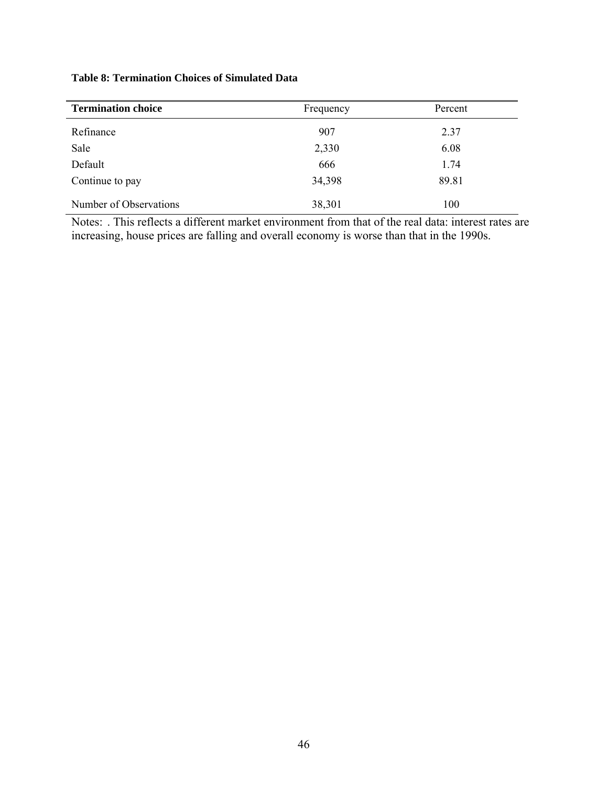| <b>Termination choice</b> | Frequency | Percent |
|---------------------------|-----------|---------|
| Refinance                 | 907       | 2.37    |
| Sale                      | 2,330     | 6.08    |
| Default                   | 666       | 1.74    |
| Continue to pay           | 34,398    | 89.81   |
| Number of Observations    | 38,301    | 100     |

#### **Table 8: Termination Choices of Simulated Data**

Notes: . This reflects a different market environment from that of the real data: interest rates are increasing, house prices are falling and overall economy is worse than that in the 1990s.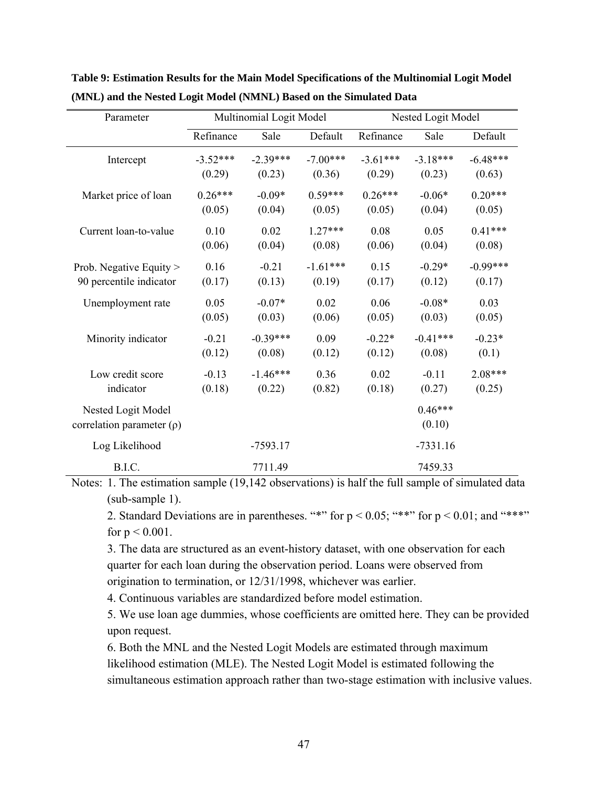| Parameter                      |            | Multinomial Logit Model |            | Nested Logit Model |            |            |  |
|--------------------------------|------------|-------------------------|------------|--------------------|------------|------------|--|
|                                | Refinance  | Sale                    | Default    | Refinance          | Sale       | Default    |  |
| Intercept                      | $-3.52***$ | $-2.39***$              | $-7.00***$ | $-3.61***$         | $-3.18***$ | $-6.48***$ |  |
|                                | (0.29)     | (0.23)                  | (0.36)     | (0.29)             | (0.23)     | (0.63)     |  |
| Market price of loan           | $0.26***$  | $-0.09*$                | $0.59***$  | $0.26***$          | $-0.06*$   | $0.20***$  |  |
|                                | (0.05)     | (0.04)                  | (0.05)     | (0.05)             | (0.04)     | (0.05)     |  |
| Current loan-to-value          | 0.10       | 0.02                    | $1.27***$  | 0.08               | 0.05       | $0.41***$  |  |
|                                | (0.06)     | (0.04)                  | (0.08)     | (0.06)             | (0.04)     | (0.08)     |  |
| Prob. Negative Equity >        | 0.16       | $-0.21$                 | $-1.61***$ | 0.15               | $-0.29*$   | $-0.99***$ |  |
| 90 percentile indicator        | (0.17)     | (0.13)                  | (0.19)     | (0.17)             | (0.12)     | (0.17)     |  |
| Unemployment rate              | 0.05       | $-0.07*$                | 0.02       | 0.06               | $-0.08*$   | 0.03       |  |
|                                | (0.05)     | (0.03)                  | (0.06)     | (0.05)             | (0.03)     | (0.05)     |  |
| Minority indicator             | $-0.21$    | $-0.39***$              | 0.09       | $-0.22*$           | $-0.41***$ | $-0.23*$   |  |
|                                | (0.12)     | (0.08)                  | (0.12)     | (0.12)             | (0.08)     | (0.1)      |  |
| Low credit score               | $-0.13$    | $-1.46***$              | 0.36       | 0.02               | $-0.11$    | $2.08***$  |  |
| indicator                      | (0.18)     | (0.22)                  | (0.82)     | (0.18)             | (0.27)     | (0.25)     |  |
| Nested Logit Model             |            |                         |            |                    | $0.46***$  |            |  |
| correlation parameter $(\rho)$ |            |                         |            |                    | (0.10)     |            |  |
| Log Likelihood                 |            | $-7593.17$              |            |                    | $-7331.16$ |            |  |
| B.I.C.                         |            | 7711.49                 |            |                    | 7459.33    |            |  |

**Table 9: Estimation Results for the Main Model Specifications of the Multinomial Logit Model (MNL) and the Nested Logit Model (NMNL) Based on the Simulated Data** 

Notes: 1. The estimation sample (19,142 observations) is half the full sample of simulated data (sub-sample 1).

2. Standard Deviations are in parentheses. "\*" for  $p < 0.05$ ; "\*\*" for  $p < 0.01$ ; and "\*\*\*" for  $p < 0.001$ .

3. The data are structured as an event-history dataset, with one observation for each quarter for each loan during the observation period. Loans were observed from origination to termination, or 12/31/1998, whichever was earlier.

4. Continuous variables are standardized before model estimation.

5. We use loan age dummies, whose coefficients are omitted here. They can be provided upon request.

6. Both the MNL and the Nested Logit Models are estimated through maximum likelihood estimation (MLE). The Nested Logit Model is estimated following the simultaneous estimation approach rather than two-stage estimation with inclusive values.